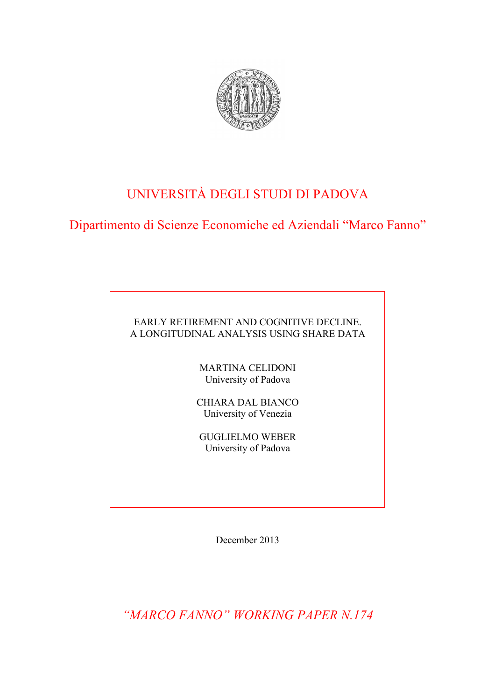

# UNIVERSITÀ DEGLI STUDI DI PADOVA

Dipartimento di Scienze Economiche ed Aziendali "Marco Fanno"

## EARLY RETIREMENT AND COGNITIVE DECLINE. A LONGITUDINAL ANALYSIS USING SHARE DATA

MARTINA CELIDONI University of Padova

CHIARA DAL BIANCO University of Venezia

GUGLIELMO WEBER University of Padova

December 2013

*"MARCO FANNO" WORKING PAPER N.174*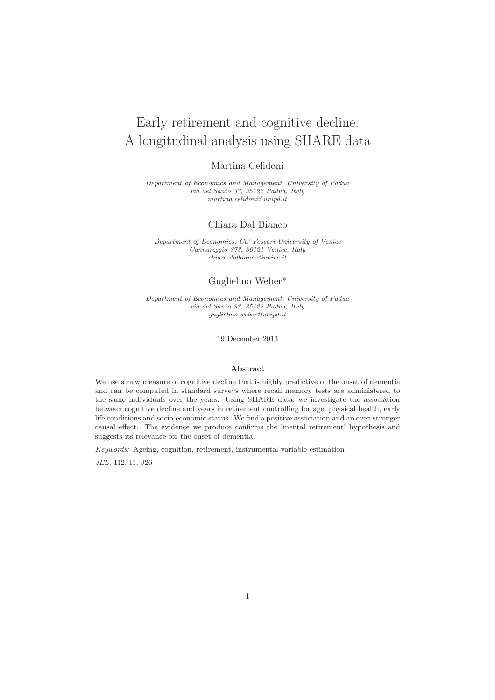# Early retirement and cognitive decline. A longitudinal analysis using SHARE data

### Martina Celidoni

Department of Economics and Management, University of Padua via del Santo 33, 35122 Padua, Italy martina.celidoni@unipd.it

### Chiara Dal Bianco

Department of Economics, Ca' Foscari University of Venice Cannareggio 873, 30121 Venice, Italy chiara.dalbianco@unive.it

### Guglielmo Weber\*

Department of Economics and Management, University of Padua via del Santo 33, 35122 Padua, Italy guglielmo.weber@unipd.it

19 December 2013

#### Abstract

We use a new measure of cognitive decline that is highly predictive of the onset of dementia and can be computed in standard surveys where recall memory tests are administered to the same individuals over the years. Using SHARE data, we investigate the association between cognitive decline and years in retirement controlling for age, physical health, early life conditions and socio-economic status. We find a positive association and an even stronger causal effect. The evidence we produce confirms the 'mental retirement' hypothesis and suggests its relevance for the onset of dementia.

Keywords: Ageing, cognition, retirement, instrumental variable estimation

JEL: I12, I1, J26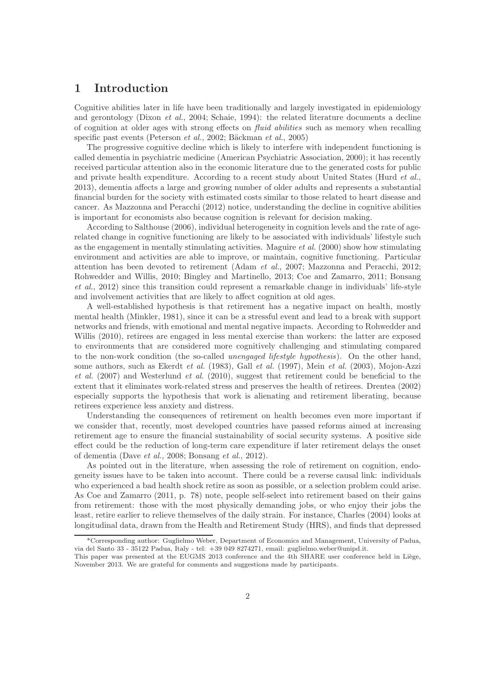### 1 Introduction

Cognitive abilities later in life have been traditionally and largely investigated in epidemiology and gerontology (Dixon et al., 2004; Schaie, 1994): the related literature documents a decline of cognition at older ages with strong effects on fluid abilities such as memory when recalling specific past events (Peterson *et al.*, 2002; Bäckman *et al.*, 2005)

The progressive cognitive decline which is likely to interfere with independent functioning is called dementia in psychiatric medicine (American Psychiatric Association, 2000); it has recently received particular attention also in the economic literature due to the generated costs for public and private health expenditure. According to a recent study about United States (Hurd *et al.*, 2013), dementia affects a large and growing number of older adults and represents a substantial financial burden for the society with estimated costs similar to those related to heart disease and cancer. As Mazzonna and Peracchi (2012) notice, understanding the decline in cognitive abilities is important for economists also because cognition is relevant for decision making.

According to Salthouse (2006), individual heterogeneity in cognition levels and the rate of agerelated change in cognitive functioning are likely to be associated with individuals' lifestyle such as the engagement in mentally stimulating activities. Maguire *et al.* (2000) show how stimulating environment and activities are able to improve, or maintain, cognitive functioning. Particular attention has been devoted to retirement (Adam et al., 2007; Mazzonna and Peracchi, 2012; Rohwedder and Willis, 2010; Bingley and Martinello, 2013; Coe and Zamarro, 2011; Bonsang et al., 2012) since this transition could represent a remarkable change in individuals' life-style and involvement activities that are likely to affect cognition at old ages.

A well-established hypothesis is that retirement has a negative impact on health, mostly mental health (Minkler, 1981), since it can be a stressful event and lead to a break with support networks and friends, with emotional and mental negative impacts. According to Rohwedder and Willis (2010), retirees are engaged in less mental exercise than workers: the latter are exposed to environments that are considered more cognitively challenging and stimulating compared to the non-work condition (the so-called *unengaged lifestyle hypothesis*). On the other hand, some authors, such as Ekerdt *et al.* (1983), Gall *et al.* (1997), Mein *et al.* (2003), Mojon-Azzi et al. (2007) and Westerlund et al. (2010), suggest that retirement could be beneficial to the extent that it eliminates work-related stress and preserves the health of retirees. Drentea (2002) especially supports the hypothesis that work is alienating and retirement liberating, because retirees experience less anxiety and distress.

Understanding the consequences of retirement on health becomes even more important if we consider that, recently, most developed countries have passed reforms aimed at increasing retirement age to ensure the financial sustainability of social security systems. A positive side effect could be the reduction of long-term care expenditure if later retirement delays the onset of dementia (Dave et al., 2008; Bonsang et al., 2012).

As pointed out in the literature, when assessing the role of retirement on cognition, endogeneity issues have to be taken into account. There could be a reverse causal link: individuals who experienced a bad health shock retire as soon as possible, or a selection problem could arise. As Coe and Zamarro (2011, p. 78) note, people self-select into retirement based on their gains from retirement: those with the most physically demanding jobs, or who enjoy their jobs the least, retire earlier to relieve themselves of the daily strain. For instance, Charles (2004) looks at longitudinal data, drawn from the Health and Retirement Study (HRS), and finds that depressed

<sup>\*</sup>Corresponding author: Guglielmo Weber, Department of Economics and Management, University of Padua, via del Santo 33 - 35122 Padua, Italy - tel: +39 049 8274271, email: guglielmo.weber@unipd.it.

This paper was presented at the EUGMS 2013 conference and the 4th SHARE user conference held in Liège, November 2013. We are grateful for comments and suggestions made by participants.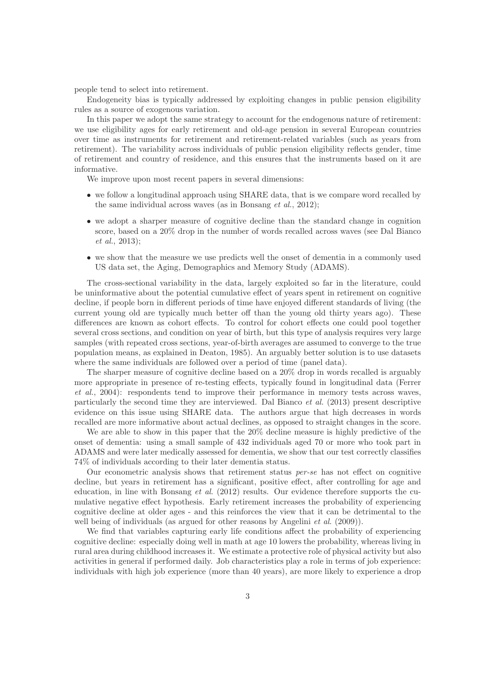people tend to select into retirement.

Endogeneity bias is typically addressed by exploiting changes in public pension eligibility rules as a source of exogenous variation.

In this paper we adopt the same strategy to account for the endogenous nature of retirement: we use eligibility ages for early retirement and old-age pension in several European countries over time as instruments for retirement and retirement-related variables (such as years from retirement). The variability across individuals of public pension eligibility reflects gender, time of retirement and country of residence, and this ensures that the instruments based on it are informative.

We improve upon most recent papers in several dimensions:

- we follow a longitudinal approach using SHARE data, that is we compare word recalled by the same individual across waves (as in Bonsang et al., 2012);
- we adopt a sharper measure of cognitive decline than the standard change in cognition score, based on a 20% drop in the number of words recalled across waves (see Dal Bianco et al., 2013);
- we show that the measure we use predicts well the onset of dementia in a commonly used US data set, the Aging, Demographics and Memory Study (ADAMS).

The cross-sectional variability in the data, largely exploited so far in the literature, could be uninformative about the potential cumulative effect of years spent in retirement on cognitive decline, if people born in different periods of time have enjoyed different standards of living (the current young old are typically much better off than the young old thirty years ago). These differences are known as cohort effects. To control for cohort effects one could pool together several cross sections, and condition on year of birth, but this type of analysis requires very large samples (with repeated cross sections, year-of-birth averages are assumed to converge to the true population means, as explained in Deaton, 1985). An arguably better solution is to use datasets where the same individuals are followed over a period of time (panel data).

The sharper measure of cognitive decline based on a 20% drop in words recalled is arguably more appropriate in presence of re-testing effects, typically found in longitudinal data (Ferrer et al., 2004): respondents tend to improve their performance in memory tests across waves, particularly the second time they are interviewed. Dal Bianco et al. (2013) present descriptive evidence on this issue using SHARE data. The authors argue that high decreases in words recalled are more informative about actual declines, as opposed to straight changes in the score.

We are able to show in this paper that the 20% decline measure is highly predictive of the onset of dementia: using a small sample of 432 individuals aged 70 or more who took part in ADAMS and were later medically assessed for dementia, we show that our test correctly classifies 74% of individuals according to their later dementia status.

Our econometric analysis shows that retirement status per-se has not effect on cognitive decline, but years in retirement has a significant, positive effect, after controlling for age and education, in line with Bonsang *et al.* (2012) results. Our evidence therefore supports the cumulative negative effect hypothesis. Early retirement increases the probability of experiencing cognitive decline at older ages - and this reinforces the view that it can be detrimental to the well being of individuals (as argued for other reasons by Angelini *et al.* (2009)).

We find that variables capturing early life conditions affect the probability of experiencing cognitive decline: especially doing well in math at age 10 lowers the probability, whereas living in rural area during childhood increases it. We estimate a protective role of physical activity but also activities in general if performed daily. Job characteristics play a role in terms of job experience: individuals with high job experience (more than 40 years), are more likely to experience a drop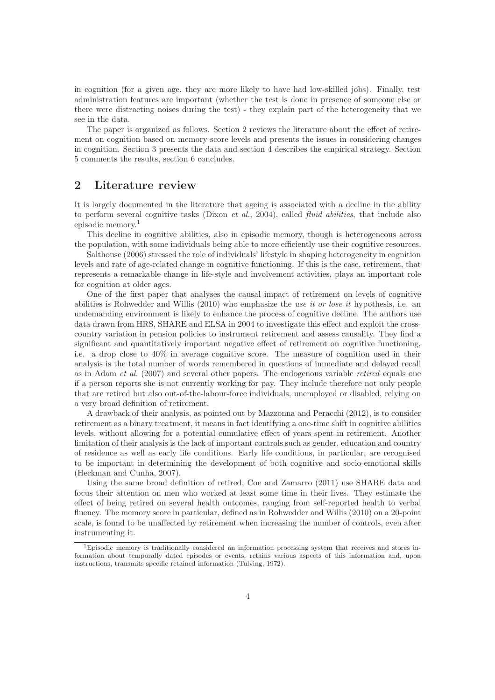in cognition (for a given age, they are more likely to have had low-skilled jobs). Finally, test administration features are important (whether the test is done in presence of someone else or there were distracting noises during the test) - they explain part of the heterogeneity that we see in the data.

The paper is organized as follows. Section 2 reviews the literature about the effect of retirement on cognition based on memory score levels and presents the issues in considering changes in cognition. Section 3 presents the data and section 4 describes the empirical strategy. Section 5 comments the results, section 6 concludes.

### 2 Literature review

It is largely documented in the literature that ageing is associated with a decline in the ability to perform several cognitive tasks (Dixon *et al.*, 2004), called *fluid abilities*, that include also episodic memory.<sup>1</sup>

This decline in cognitive abilities, also in episodic memory, though is heterogeneous across the population, with some individuals being able to more efficiently use their cognitive resources.

Salthouse (2006) stressed the role of individuals' lifestyle in shaping heterogeneity in cognition levels and rate of age-related change in cognitive functioning. If this is the case, retirement, that represents a remarkable change in life-style and involvement activities, plays an important role for cognition at older ages.

One of the first paper that analyses the causal impact of retirement on levels of cognitive abilities is Rohwedder and Willis  $(2010)$  who emphasize the use it or lose it hypothesis, i.e. an undemanding environment is likely to enhance the process of cognitive decline. The authors use data drawn from HRS, SHARE and ELSA in 2004 to investigate this effect and exploit the crosscountry variation in pension policies to instrument retirement and assess causality. They find a significant and quantitatively important negative effect of retirement on cognitive functioning, i.e. a drop close to 40% in average cognitive score. The measure of cognition used in their analysis is the total number of words remembered in questions of immediate and delayed recall as in Adam et al. (2007) and several other papers. The endogenous variable retired equals one if a person reports she is not currently working for pay. They include therefore not only people that are retired but also out-of-the-labour-force individuals, unemployed or disabled, relying on a very broad definition of retirement.

A drawback of their analysis, as pointed out by Mazzonna and Peracchi (2012), is to consider retirement as a binary treatment, it means in fact identifying a one-time shift in cognitive abilities levels, without allowing for a potential cumulative effect of years spent in retirement. Another limitation of their analysis is the lack of important controls such as gender, education and country of residence as well as early life conditions. Early life conditions, in particular, are recognised to be important in determining the development of both cognitive and socio-emotional skills (Heckman and Cunha, 2007).

Using the same broad definition of retired, Coe and Zamarro (2011) use SHARE data and focus their attention on men who worked at least some time in their lives. They estimate the effect of being retired on several health outcomes, ranging from self-reported health to verbal fluency. The memory score in particular, defined as in Rohwedder and Willis (2010) on a 20-point scale, is found to be unaffected by retirement when increasing the number of controls, even after instrumenting it.

<sup>&</sup>lt;sup>1</sup>Episodic memory is traditionally considered an information processing system that receives and stores information about temporally dated episodes or events, retains various aspects of this information and, upon instructions, transmits specific retained information (Tulving, 1972).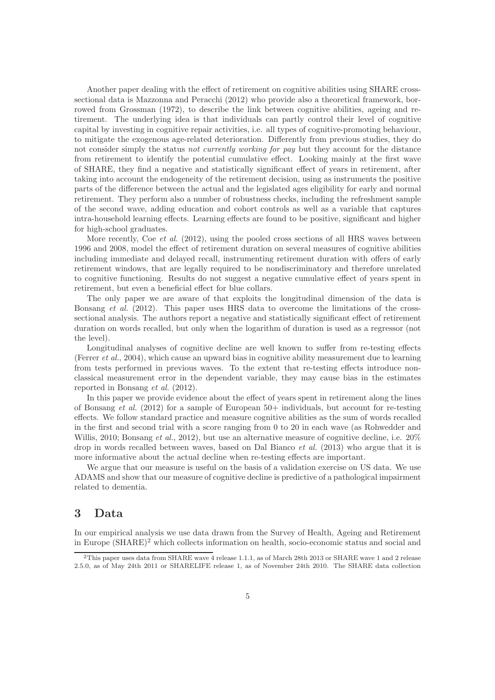Another paper dealing with the effect of retirement on cognitive abilities using SHARE crosssectional data is Mazzonna and Peracchi (2012) who provide also a theoretical framework, borrowed from Grossman (1972), to describe the link between cognitive abilities, ageing and retirement. The underlying idea is that individuals can partly control their level of cognitive capital by investing in cognitive repair activities, i.e. all types of cognitive-promoting behaviour, to mitigate the exogenous age-related deterioration. Differently from previous studies, they do not consider simply the status not currently working for pay but they account for the distance from retirement to identify the potential cumulative effect. Looking mainly at the first wave of SHARE, they find a negative and statistically significant effect of years in retirement, after taking into account the endogeneity of the retirement decision, using as instruments the positive parts of the difference between the actual and the legislated ages eligibility for early and normal retirement. They perform also a number of robustness checks, including the refreshment sample of the second wave, adding education and cohort controls as well as a variable that captures intra-household learning effects. Learning effects are found to be positive, significant and higher for high-school graduates.

More recently, Coe *et al.* (2012), using the pooled cross sections of all HRS waves between 1996 and 2008, model the effect of retirement duration on several measures of cognitive abilities including immediate and delayed recall, instrumenting retirement duration with offers of early retirement windows, that are legally required to be nondiscriminatory and therefore unrelated to cognitive functioning. Results do not suggest a negative cumulative effect of years spent in retirement, but even a beneficial effect for blue collars.

The only paper we are aware of that exploits the longitudinal dimension of the data is Bonsang et al. (2012). This paper uses HRS data to overcome the limitations of the crosssectional analysis. The authors report a negative and statistically significant effect of retirement duration on words recalled, but only when the logarithm of duration is used as a regressor (not the level).

Longitudinal analyses of cognitive decline are well known to suffer from re-testing effects (Ferrer et al., 2004), which cause an upward bias in cognitive ability measurement due to learning from tests performed in previous waves. To the extent that re-testing effects introduce nonclassical measurement error in the dependent variable, they may cause bias in the estimates reported in Bonsang et al. (2012).

In this paper we provide evidence about the effect of years spent in retirement along the lines of Bonsang et al.  $(2012)$  for a sample of European 50+ individuals, but account for re-testing effects. We follow standard practice and measure cognitive abilities as the sum of words recalled in the first and second trial with a score ranging from 0 to 20 in each wave (as Rohwedder and Willis, 2010; Bonsang *et al.*, 2012), but use an alternative measure of cognitive decline, i.e.  $20\%$ drop in words recalled between waves, based on Dal Bianco et al. (2013) who argue that it is more informative about the actual decline when re-testing effects are important.

We argue that our measure is useful on the basis of a validation exercise on US data. We use ADAMS and show that our measure of cognitive decline is predictive of a pathological impairment related to dementia.

### 3 Data

In our empirical analysis we use data drawn from the Survey of Health, Ageing and Retirement in Europe (SHARE)<sup>2</sup> which collects information on health, socio-economic status and social and

<sup>2</sup>This paper uses data from SHARE wave 4 release 1.1.1, as of March 28th 2013 or SHARE wave 1 and 2 release 2.5.0, as of May 24th 2011 or SHARELIFE release 1, as of November 24th 2010. The SHARE data collection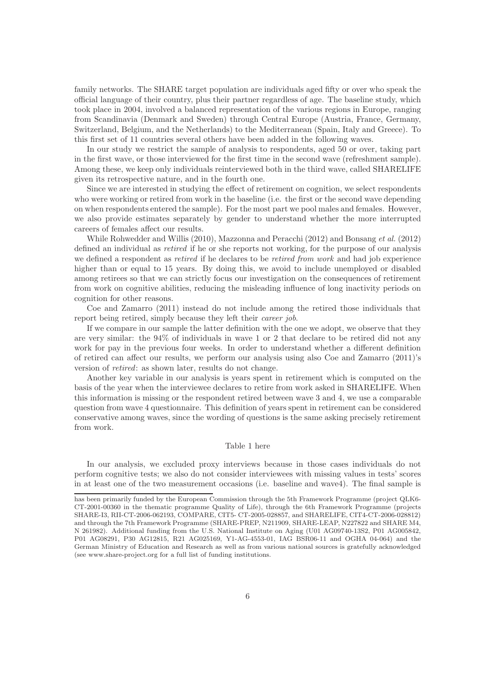family networks. The SHARE target population are individuals aged fifty or over who speak the official language of their country, plus their partner regardless of age. The baseline study, which took place in 2004, involved a balanced representation of the various regions in Europe, ranging from Scandinavia (Denmark and Sweden) through Central Europe (Austria, France, Germany, Switzerland, Belgium, and the Netherlands) to the Mediterranean (Spain, Italy and Greece). To this first set of 11 countries several others have been added in the following waves.

In our study we restrict the sample of analysis to respondents, aged 50 or over, taking part in the first wave, or those interviewed for the first time in the second wave (refreshment sample). Among these, we keep only individuals reinterviewed both in the third wave, called SHARELIFE given its retrospective nature, and in the fourth one.

Since we are interested in studying the effect of retirement on cognition, we select respondents who were working or retired from work in the baseline (i.e. the first or the second wave depending on when respondents entered the sample). For the most part we pool males and females. However, we also provide estimates separately by gender to understand whether the more interrupted careers of females affect our results.

While Rohwedder and Willis (2010), Mazzonna and Peracchi (2012) and Bonsang et al. (2012) defined an individual as retired if he or she reports not working, for the purpose of our analysis we defined a respondent as *retired* if he declares to be *retired from work* and had job experience higher than or equal to 15 years. By doing this, we avoid to include unemployed or disabled among retirees so that we can strictly focus our investigation on the consequences of retirement from work on cognitive abilities, reducing the misleading influence of long inactivity periods on cognition for other reasons.

Coe and Zamarro (2011) instead do not include among the retired those individuals that report being retired, simply because they left their career job.

If we compare in our sample the latter definition with the one we adopt, we observe that they are very similar: the 94% of individuals in wave 1 or 2 that declare to be retired did not any work for pay in the previous four weeks. In order to understand whether a different definition of retired can affect our results, we perform our analysis using also Coe and Zamarro (2011)'s version of retired: as shown later, results do not change.

Another key variable in our analysis is years spent in retirement which is computed on the basis of the year when the interviewee declares to retire from work asked in SHARELIFE. When this information is missing or the respondent retired between wave 3 and 4, we use a comparable question from wave 4 questionnaire. This definition of years spent in retirement can be considered conservative among waves, since the wording of questions is the same asking precisely retirement from work.

#### Table 1 here

In our analysis, we excluded proxy interviews because in those cases individuals do not perform cognitive tests; we also do not consider interviewees with missing values in tests' scores in at least one of the two measurement occasions (i.e. baseline and wave4). The final sample is

has been primarily funded by the European Commission through the 5th Framework Programme (project QLK6- CT-2001-00360 in the thematic programme Quality of Life), through the 6th Framework Programme (projects SHARE-I3, RII-CT-2006-062193, COMPARE, CIT5- CT-2005-028857, and SHARELIFE, CIT4-CT-2006-028812) and through the 7th Framework Programme (SHARE-PREP, N211909, SHARE-LEAP, N227822 and SHARE M4, N 261982). Additional funding from the U.S. National Institute on Aging (U01 AG09740-13S2, P01 AG005842, P01 AG08291, P30 AG12815, R21 AG025169, Y1-AG-4553-01, IAG BSR06-11 and OGHA 04-064) and the German Ministry of Education and Research as well as from various national sources is gratefully acknowledged (see www.share-project.org for a full list of funding institutions.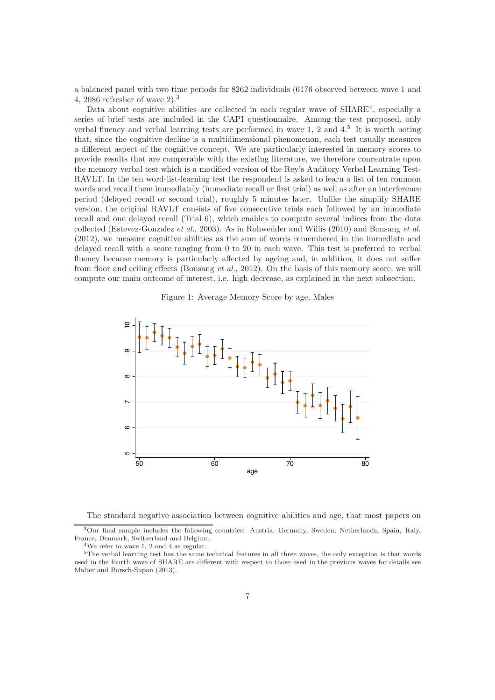a balanced panel with two time periods for 8262 individuals (6176 observed between wave 1 and 4, 2086 refresher of wave 2).<sup>3</sup>

Data about cognitive abilities are collected in each regular wave of  $SHARE<sup>4</sup>$ , especially a series of brief tests are included in the CAPI questionnaire. Among the test proposed, only verbal fluency and verbal learning tests are performed in wave 1, 2 and  $4<sup>5</sup>$  It is worth noting that, since the cognitive decline is a multidimensional phenomenon, each test usually measures a different aspect of the cognitive concept. We are particularly interested in memory scores to provide results that are comparable with the existing literature, we therefore concentrate upon the memory verbal test which is a modified version of the Rey's Auditory Verbal Learning Test-RAVLT. In the ten word-list-learning test the respondent is asked to learn a list of ten common words and recall them immediately (immediate recall or first trial) as well as after an interference period (delayed recall or second trial), roughly 5 minutes later. Unlike the simplify SHARE version, the original RAVLT consists of five consecutive trials each followed by an immediate recall and one delayed recall (Trial 6), which enables to compute several indices from the data collected (Estevez-Gonzalez et al., 2003). As in Rohwedder and Willis (2010) and Bonsang et al. (2012), we measure cognitive abilities as the sum of words remembered in the immediate and delayed recall with a score ranging from 0 to 20 in each wave. This test is preferred to verbal fluency because memory is particularly affected by ageing and, in addition, it does not suffer from floor and ceiling effects (Bonsang et al., 2012). On the basis of this memory score, we will compute our main outcome of interest, i.e. high decrease, as explained in the next subsection.





The standard negative association between cognitive abilities and age, that most papers on

<sup>3</sup>Our final sample includes the following countries: Austria, Germany, Sweden, Netherlands, Spain, Italy, France, Denmark, Switzerland and Belgium. <sup>4</sup>We refer to wave 1, 2 and 4 as regular.

<sup>5</sup>The verbal learning test has the same technical features in all three waves, the only exception is that words used in the fourth wave of SHARE are different with respect to those used in the previous waves for details see Malter and Borsch-Supan (2013).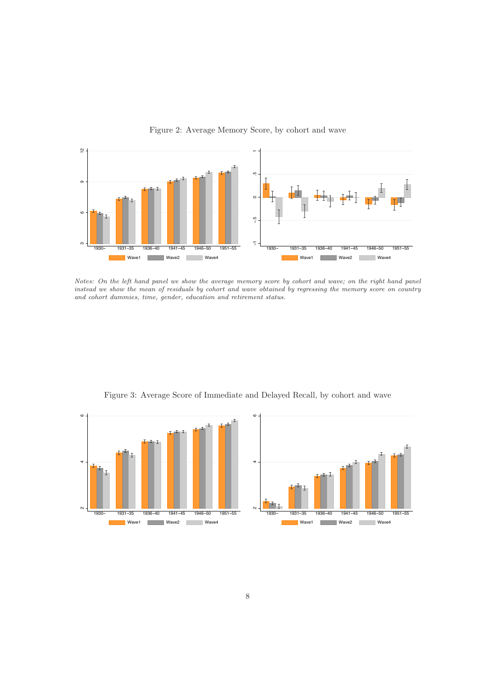

### Figure 2: Average Memory Score, by cohort and wave

Notes: On the left hand panel we show the average memory score by cohort and wave; on the right hand panel instead we show the mean of residuals by cohort and wave obtained by regressing the memory score on country and cohort dummies, time, gender, education and retirement status.



Figure 3: Average Score of Immediate and Delayed Recall, by cohort and wave

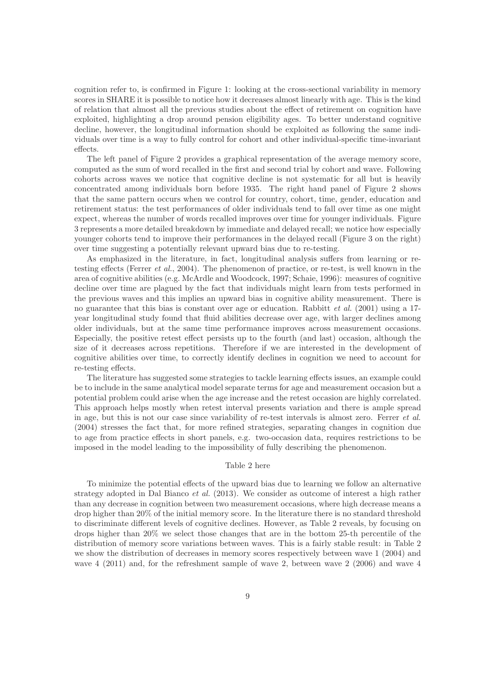cognition refer to, is confirmed in Figure 1: looking at the cross-sectional variability in memory scores in SHARE it is possible to notice how it decreases almost linearly with age. This is the kind of relation that almost all the previous studies about the effect of retirement on cognition have exploited, highlighting a drop around pension eligibility ages. To better understand cognitive decline, however, the longitudinal information should be exploited as following the same individuals over time is a way to fully control for cohort and other individual-specific time-invariant effects.

The left panel of Figure 2 provides a graphical representation of the average memory score, computed as the sum of word recalled in the first and second trial by cohort and wave. Following cohorts across waves we notice that cognitive decline is not systematic for all but is heavily concentrated among individuals born before 1935. The right hand panel of Figure 2 shows that the same pattern occurs when we control for country, cohort, time, gender, education and retirement status: the test performances of older individuals tend to fall over time as one might expect, whereas the number of words recalled improves over time for younger individuals. Figure 3 represents a more detailed breakdown by immediate and delayed recall; we notice how especially younger cohorts tend to improve their performances in the delayed recall (Figure 3 on the right) over time suggesting a potentially relevant upward bias due to re-testing.

As emphasized in the literature, in fact, longitudinal analysis suffers from learning or retesting effects (Ferrer et al., 2004). The phenomenon of practice, or re-test, is well known in the area of cognitive abilities (e.g. McArdle and Woodcock, 1997; Schaie, 1996): measures of cognitive decline over time are plagued by the fact that individuals might learn from tests performed in the previous waves and this implies an upward bias in cognitive ability measurement. There is no guarantee that this bias is constant over age or education. Rabbitt *et al.* (2001) using a 17year longitudinal study found that fluid abilities decrease over age, with larger declines among older individuals, but at the same time performance improves across measurement occasions. Especially, the positive retest effect persists up to the fourth (and last) occasion, although the size of it decreases across repetitions. Therefore if we are interested in the development of cognitive abilities over time, to correctly identify declines in cognition we need to account for re-testing effects.

The literature has suggested some strategies to tackle learning effects issues, an example could be to include in the same analytical model separate terms for age and measurement occasion but a potential problem could arise when the age increase and the retest occasion are highly correlated. This approach helps mostly when retest interval presents variation and there is ample spread in age, but this is not our case since variability of re-test intervals is almost zero. Ferrer et al. (2004) stresses the fact that, for more refined strategies, separating changes in cognition due to age from practice effects in short panels, e.g. two-occasion data, requires restrictions to be imposed in the model leading to the impossibility of fully describing the phenomenon.

#### Table 2 here

To minimize the potential effects of the upward bias due to learning we follow an alternative strategy adopted in Dal Bianco *et al.* (2013). We consider as outcome of interest a high rather than any decrease in cognition between two measurement occasions, where high decrease means a drop higher than 20% of the initial memory score. In the literature there is no standard threshold to discriminate different levels of cognitive declines. However, as Table 2 reveals, by focusing on drops higher than 20% we select those changes that are in the bottom 25-th percentile of the distribution of memory score variations between waves. This is a fairly stable result: in Table 2 we show the distribution of decreases in memory scores respectively between wave 1 (2004) and wave 4 (2011) and, for the refreshment sample of wave 2, between wave 2 (2006) and wave 4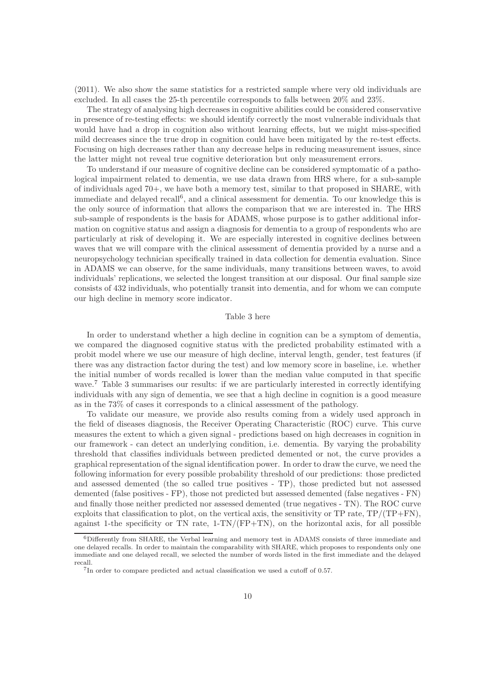(2011). We also show the same statistics for a restricted sample where very old individuals are excluded. In all cases the 25-th percentile corresponds to falls between 20% and 23%.

The strategy of analysing high decreases in cognitive abilities could be considered conservative in presence of re-testing effects: we should identify correctly the most vulnerable individuals that would have had a drop in cognition also without learning effects, but we might miss-specified mild decreases since the true drop in cognition could have been mitigated by the re-test effects. Focusing on high decreases rather than any decrease helps in reducing measurement issues, since the latter might not reveal true cognitive deterioration but only measurement errors.

To understand if our measure of cognitive decline can be considered symptomatic of a pathological impairment related to dementia, we use data drawn from HRS where, for a sub-sample of individuals aged 70+, we have both a memory test, similar to that proposed in SHARE, with immediate and delayed recall<sup>6</sup>, and a clinical assessment for dementia. To our knowledge this is the only source of information that allows the comparison that we are interested in. The HRS sub-sample of respondents is the basis for ADAMS, whose purpose is to gather additional information on cognitive status and assign a diagnosis for dementia to a group of respondents who are particularly at risk of developing it. We are especially interested in cognitive declines between waves that we will compare with the clinical assessment of dementia provided by a nurse and a neuropsychology technician specifically trained in data collection for dementia evaluation. Since in ADAMS we can observe, for the same individuals, many transitions between waves, to avoid individuals' replications, we selected the longest transition at our disposal. Our final sample size consists of 432 individuals, who potentially transit into dementia, and for whom we can compute our high decline in memory score indicator.

#### Table 3 here

In order to understand whether a high decline in cognition can be a symptom of dementia, we compared the diagnosed cognitive status with the predicted probability estimated with a probit model where we use our measure of high decline, interval length, gender, test features (if there was any distraction factor during the test) and low memory score in baseline, i.e. whether the initial number of words recalled is lower than the median value computed in that specific wave.<sup>7</sup> Table 3 summarises our results: if we are particularly interested in correctly identifying individuals with any sign of dementia, we see that a high decline in cognition is a good measure as in the 73% of cases it corresponds to a clinical assessment of the pathology.

To validate our measure, we provide also results coming from a widely used approach in the field of diseases diagnosis, the Receiver Operating Characteristic (ROC) curve. This curve measures the extent to which a given signal - predictions based on high decreases in cognition in our framework - can detect an underlying condition, i.e. dementia. By varying the probability threshold that classifies individuals between predicted demented or not, the curve provides a graphical representation of the signal identification power. In order to draw the curve, we need the following information for every possible probability threshold of our predictions: those predicted and assessed demented (the so called true positives - TP), those predicted but not assessed demented (false positives - FP), those not predicted but assessed demented (false negatives - FN) and finally those neither predicted nor assessed demented (true negatives - TN). The ROC curve exploits that classification to plot, on the vertical axis, the sensitivity or TP rate, TP/(TP+FN), against 1-the specificity or TN rate,  $1-TN/(FP+TN)$ , on the horizontal axis, for all possible

<sup>6</sup>Differently from SHARE, the Verbal learning and memory test in ADAMS consists of three immediate and one delayed recalls. In order to maintain the comparability with SHARE, which proposes to respondents only one immediate and one delayed recall, we selected the number of words listed in the first immediate and the delayed recall. <sup>7</sup>In order to compare predicted and actual classification we used a cutoff of 0.57.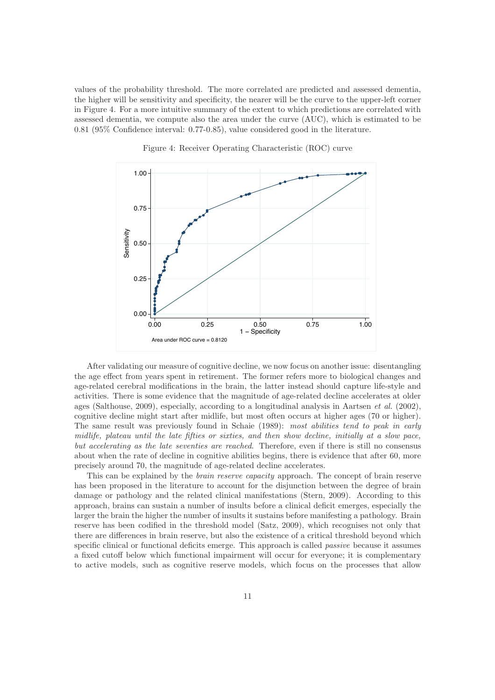values of the probability threshold. The more correlated are predicted and assessed dementia, the higher will be sensitivity and specificity, the nearer will be the curve to the upper-left corner in Figure 4. For a more intuitive summary of the extent to which predictions are correlated with assessed dementia, we compute also the area under the curve (AUC), which is estimated to be 0.81 (95% Confidence interval: 0.77-0.85), value considered good in the literature.



Figure 4: Receiver Operating Characteristic (ROC) curve

After validating our measure of cognitive decline, we now focus on another issue: disentangling the age effect from years spent in retirement. The former refers more to biological changes and age-related cerebral modifications in the brain, the latter instead should capture life-style and activities. There is some evidence that the magnitude of age-related decline accelerates at older ages (Salthouse, 2009), especially, according to a longitudinal analysis in Aartsen et al. (2002), cognitive decline might start after midlife, but most often occurs at higher ages (70 or higher). The same result was previously found in Schaie (1989): most abilities tend to peak in early midlife, plateau until the late fifties or sixties, and then show decline, initially at a slow pace, but accelerating as the late seventies are reached. Therefore, even if there is still no consensus about when the rate of decline in cognitive abilities begins, there is evidence that after 60, more precisely around 70, the magnitude of age-related decline accelerates.

This can be explained by the brain reserve capacity approach. The concept of brain reserve has been proposed in the literature to account for the disjunction between the degree of brain damage or pathology and the related clinical manifestations (Stern, 2009). According to this approach, brains can sustain a number of insults before a clinical deficit emerges, especially the larger the brain the higher the number of insults it sustains before manifesting a pathology. Brain reserve has been codified in the threshold model (Satz, 2009), which recognises not only that there are differences in brain reserve, but also the existence of a critical threshold beyond which specific clinical or functional deficits emerge. This approach is called *passive* because it assumes a fixed cutoff below which functional impairment will occur for everyone; it is complementary to active models, such as cognitive reserve models, which focus on the processes that allow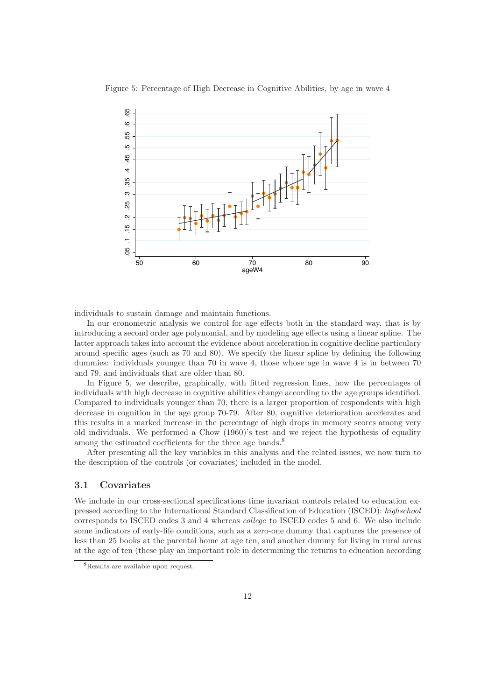

Figure 5: Percentage of High Decrease in Cognitive Abilities, by age in wave 4

individuals to sustain damage and maintain functions.

In our econometric analysis we control for age effects both in the standard way, that is by introducing a second order age polynomial, and by modeling age effects using a linear spline. The latter approach takes into account the evidence about acceleration in cognitive decline particulary around specific ages (such as 70 and 80). We specify the linear spline by defining the following dummies: individuals younger than 70 in wave 4, those whose age in wave 4 is in between 70 and 79, and individuals that are older than 80.

In Figure 5, we describe, graphically, with fitted regression lines, how the percentages of individuals with high decrease in cognitive abilities change according to the age groups identified. Compared to individuals younger than 70, there is a larger proportion of respondents with high decrease in cognition in the age group 70-79. After 80, cognitive deterioration accelerates and this results in a marked increase in the percentage of high drops in memory scores among very old individuals. We performed a Chow (1960)'s test and we reject the hypothesis of equality among the estimated coefficients for the three age bands.<sup>8</sup>

After presenting all the key variables in this analysis and the related issues, we now turn to the description of the controls (or covariates) included in the model.

### 3.1 Covariates

We include in our cross-sectional specifications time invariant controls related to education expressed according to the International Standard Classification of Education (ISCED): highschool corresponds to ISCED codes 3 and 4 whereas college to ISCED codes 5 and 6. We also include some indicators of early-life conditions, such as a zero-one dummy that captures the presence of less than 25 books at the parental home at age ten, and another dummy for living in rural areas at the age of ten (these play an important role in determining the returns to education according

<sup>8</sup>Results are available upon request.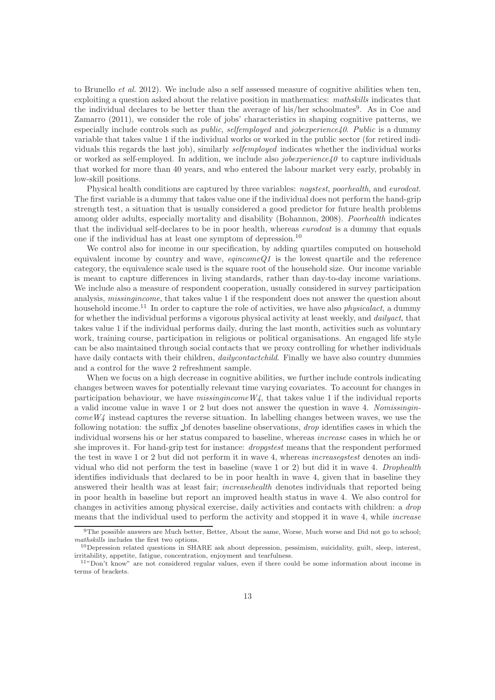to Brunello  $et$  al. 2012). We include also a self assessed measure of cognitive abilities when ten, exploiting a question asked about the relative position in mathematics: mathskills indicates that the individual declares to be better than the average of his/her schoolmates<sup>9</sup>. As in Coe and Zamarro (2011), we consider the role of jobs' characteristics in shaping cognitive patterns, we especially include controls such as *public, selfemployed* and *jobexperience40. Public* is a dummy variable that takes value 1 if the individual works or worked in the public sector (for retired individuals this regards the last job), similarly selfemployed indicates whether the individual works or worked as self-employed. In addition, we include also *jobexperience40* to capture individuals that worked for more than 40 years, and who entered the labour market very early, probably in low-skill positions.

Physical health conditions are captured by three variables: nogstest, poorhealth, and eurodcat. The first variable is a dummy that takes value one if the individual does not perform the hand-grip strength test, a situation that is usually considered a good predictor for future health problems among older adults, especially mortality and disability (Bohannon, 2008). Poorhealth indicates that the individual self-declares to be in poor health, whereas *eurodcat* is a dummy that equals one if the individual has at least one symptom of depression.<sup>10</sup>

We control also for income in our specification, by adding quartiles computed on household equivalent income by country and wave,  $eqincomeQ1$  is the lowest quartile and the reference category, the equivalence scale used is the square root of the household size. Our income variable is meant to capture differences in living standards, rather than day-to-day income variations. We include also a measure of respondent cooperation, usually considered in survey participation analysis, missingincome, that takes value 1 if the respondent does not answer the question about household income.<sup>11</sup> In order to capture the role of activities, we have also *physicalact*, a dummy for whether the individual performs a vigorous physical activity at least weekly, and *dailyact*, that takes value 1 if the individual performs daily, during the last month, activities such as voluntary work, training course, participation in religious or political organisations. An engaged life style can be also maintained through social contacts that we proxy controlling for whether individuals have daily contacts with their children, *dailycontactchild*. Finally we have also country dummies and a control for the wave 2 refreshment sample.

When we focus on a high decrease in cognitive abilities, we further include controls indicating changes between waves for potentially relevant time varying covariates. To account for changes in participation behaviour, we have  $missinqincomeW<sub>4</sub>$ , that takes value 1 if the individual reports a valid income value in wave 1 or 2 but does not answer the question in wave 4. Nomissingin $comeW4$  instead captures the reverse situation. In labelling changes between waves, we use the following notation: the suffix  $\Delta$  bf denotes baseline observations, *drop* identifies cases in which the individual worsens his or her status compared to baseline, whereas increase cases in which he or she improves it. For hand-grip test for instance: dropgstest means that the respondent performed the test in wave 1 or 2 but did not perform it in wave 4, whereas *increasegstest* denotes an individual who did not perform the test in baseline (wave 1 or 2) but did it in wave 4. Drophealth identifies individuals that declared to be in poor health in wave 4, given that in baseline they answered their health was at least fair; increasehealth denotes individuals that reported being in poor health in baseline but report an improved health status in wave 4. We also control for changes in activities among physical exercise, daily activities and contacts with children: a drop means that the individual used to perform the activity and stopped it in wave 4, while *increase* 

<sup>&</sup>lt;sup>9</sup>The possible answers are Much better, Better, About the same, Worse, Much worse and Did not go to school;

mathskills includes the first two options. 10Depression related questions in SHARE ask about depression, pessimism, suicidality, guilt, sleep, interest, irritability, appetite, fatigue, concentration, enjoyment and tearfu

 $11"$ Don't know" are not considered regular values, even if there could be some information about income in terms of brackets.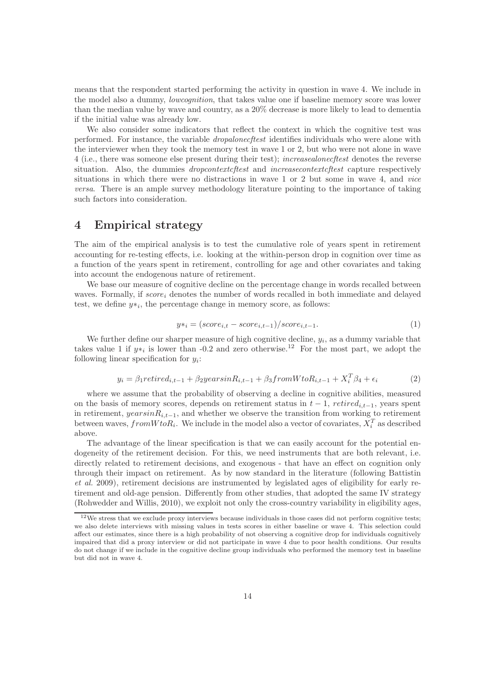means that the respondent started performing the activity in question in wave 4. We include in the model also a dummy, *lowcognition*, that takes value one if baseline memory score was lower than the median value by wave and country, as a 20% decrease is more likely to lead to dementia if the initial value was already low.

We also consider some indicators that reflect the context in which the cognitive test was performed. For instance, the variable dropalonecftest identifies individuals who were alone with the interviewer when they took the memory test in wave 1 or 2, but who were not alone in wave 4 (i.e., there was someone else present during their test); *increasealonecftest* denotes the reverse situation. Also, the dummies *dropcontext cftest* and *increasecontext cftest* capture respectively situations in which there were no distractions in wave 1 or 2 but some in wave 4, and vice versa. There is an ample survey methodology literature pointing to the importance of taking such factors into consideration.

### 4 Empirical strategy

The aim of the empirical analysis is to test the cumulative role of years spent in retirement accounting for re-testing effects, i.e. looking at the within-person drop in cognition over time as a function of the years spent in retirement, controlling for age and other covariates and taking into account the endogenous nature of retirement.

We base our measure of cognitive decline on the percentage change in words recalled between waves. Formally, if  $score_i$  denotes the number of words recalled in both immediate and delayed test, we define  $y*_i$ , the percentage change in memory score, as follows:

$$
y*_i = (score_{i,t} - score_{i,t-1})/score_{i,t-1}.
$$
\n
$$
(1)
$$

We further define our sharper measure of high cognitive decline,  $y_i$ , as a dummy variable that takes value 1 if  $y*_i$  is lower than -0.2 and zero otherwise.<sup>12</sup> For the most part, we adopt the following linear specification for  $y_i$ :

$$
y_i = \beta_1 retired_{i,t-1} + \beta_2 yearsinR_{i,t-1} + \beta_3 from WtoR_{i,t-1} + X_i^T \beta_4 + \epsilon_i
$$
 (2)

where we assume that the probability of observing a decline in cognitive abilities, measured on the basis of memory scores, depends on retirement status in  $t - 1$ ,  $retried_{i,t-1}$ , years spent in retirement,  $yearsinR_{i,t-1}$ , and whether we observe the transition from working to retirement between waves,  $from WtoR_i$ . We include in the model also a vector of covariates,  $X_i^T$  as described above.

The advantage of the linear specification is that we can easily account for the potential endogeneity of the retirement decision. For this, we need instruments that are both relevant, i.e. directly related to retirement decisions, and exogenous - that have an effect on cognition only through their impact on retirement. As by now standard in the literature (following Battistin et al. 2009), retirement decisions are instrumented by legislated ages of eligibility for early retirement and old-age pension. Differently from other studies, that adopted the same IV strategy (Rohwedder and Willis, 2010), we exploit not only the cross-country variability in eligibility ages,

 $12$ We stress that we exclude proxy interviews because individuals in those cases did not perform cognitive tests; we also delete interviews with missing values in tests scores in either baseline or wave 4. This selection could affect our estimates, since there is a high probability of not observing a cognitive drop for individuals cognitively impaired that did a proxy interview or did not participate in wave 4 due to poor health conditions. Our results do not change if we include in the cognitive decline group individuals who performed the memory test in baseline but did not in wave 4.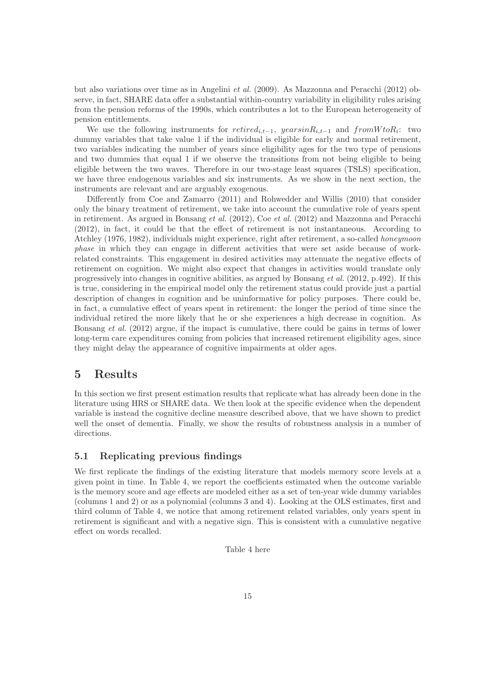but also variations over time as in Angelini et al. (2009). As Mazzonna and Peracchi (2012) observe, in fact, SHARE data offer a substantial within-country variability in eligibility rules arising from the pension reforms of the 1990s, which contributes a lot to the European heterogeneity of pension entitlements.

We use the following instruments for  $retried_{i,t-1}$ ,  $yearsinR_{i,t-1}$  and  $fromWtoR_i$ : two dummy variables that take value 1 if the individual is eligible for early and normal retirement, two variables indicating the number of years since eligibility ages for the two type of pensions and two dummies that equal 1 if we observe the transitions from not being eligible to being eligible between the two waves. Therefore in our two-stage least squares (TSLS) specification, we have three endogenous variables and six instruments. As we show in the next section, the instruments are relevant and are arguably exogenous.

Differently from Coe and Zamarro (2011) and Rohwedder and Willis (2010) that consider only the binary treatment of retirement, we take into account the cumulative role of years spent in retirement. As argued in Bonsang et al.  $(2012)$ , Coe et al.  $(2012)$  and Mazzonna and Peracchi (2012), in fact, it could be that the effect of retirement is not instantaneous. According to Atchley (1976, 1982), individuals might experience, right after retirement, a so-called honeymoon phase in which they can engage in different activities that were set aside because of workrelated constraints. This engagement in desired activities may attenuate the negative effects of retirement on cognition. We might also expect that changes in activities would translate only progressively into changes in cognitive abilities, as argued by Bonsang et al. (2012, p.492). If this is true, considering in the empirical model only the retirement status could provide just a partial description of changes in cognition and be uninformative for policy purposes. There could be, in fact, a cumulative effect of years spent in retirement: the longer the period of time since the individual retired the more likely that he or she experiences a high decrease in cognition. As Bonsang *et al.* (2012) argue, if the impact is cumulative, there could be gains in terms of lower long-term care expenditures coming from policies that increased retirement eligibility ages, since they might delay the appearance of cognitive impairments at older ages.

### 5 Results

In this section we first present estimation results that replicate what has already been done in the literature using HRS or SHARE data. We then look at the specific evidence when the dependent variable is instead the cognitive decline measure described above, that we have shown to predict well the onset of dementia. Finally, we show the results of robustness analysis in a number of directions.

### 5.1 Replicating previous findings

We first replicate the findings of the existing literature that models memory score levels at a given point in time. In Table 4, we report the coefficients estimated when the outcome variable is the memory score and age effects are modeled either as a set of ten-year wide dummy variables (columns 1 and 2) or as a polynomial (columns 3 and 4). Looking at the OLS estimates, first and third column of Table 4, we notice that among retirement related variables, only years spent in retirement is significant and with a negative sign. This is consistent with a cumulative negative effect on words recalled.

Table 4 here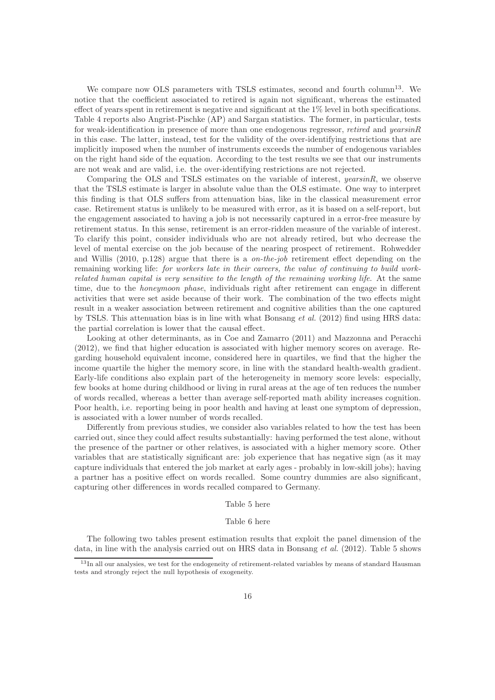We compare now OLS parameters with TSLS estimates, second and fourth column<sup>13</sup>. We notice that the coefficient associated to retired is again not significant, whereas the estimated effect of years spent in retirement is negative and significant at the  $1\%$  level in both specifications. Table 4 reports also Angrist-Pischke (AP) and Sargan statistics. The former, in particular, tests for weak-identification in presence of more than one endogenous regressor, *retired* and *yearsinR* in this case. The latter, instead, test for the validity of the over-identifying restrictions that are implicitly imposed when the number of instruments exceeds the number of endogenous variables on the right hand side of the equation. According to the test results we see that our instruments are not weak and are valid, i.e. the over-identifying restrictions are not rejected.

Comparing the OLS and TSLS estimates on the variable of interest, yearsinR, we observe that the TSLS estimate is larger in absolute value than the OLS estimate. One way to interpret this finding is that OLS suffers from attenuation bias, like in the classical measurement error case. Retirement status is unlikely to be measured with error, as it is based on a self-report, but the engagement associated to having a job is not necessarily captured in a error-free measure by retirement status. In this sense, retirement is an error-ridden measure of the variable of interest. To clarify this point, consider individuals who are not already retired, but who decrease the level of mental exercise on the job because of the nearing prospect of retirement. Rohwedder and Willis  $(2010, p.128)$  argue that there is a *on-the-job* retirement effect depending on the remaining working life: for workers late in their careers, the value of continuing to build workrelated human capital is very sensitive to the length of the remaining working life. At the same time, due to the honeymoon phase, individuals right after retirement can engage in different activities that were set aside because of their work. The combination of the two effects might result in a weaker association between retirement and cognitive abilities than the one captured by TSLS. This attenuation bias is in line with what Bonsang et al. (2012) find using HRS data: the partial correlation is lower that the causal effect.

Looking at other determinants, as in Coe and Zamarro (2011) and Mazzonna and Peracchi (2012), we find that higher education is associated with higher memory scores on average. Regarding household equivalent income, considered here in quartiles, we find that the higher the income quartile the higher the memory score, in line with the standard health-wealth gradient. Early-life conditions also explain part of the heterogeneity in memory score levels: especially, few books at home during childhood or living in rural areas at the age of ten reduces the number of words recalled, whereas a better than average self-reported math ability increases cognition. Poor health, i.e. reporting being in poor health and having at least one symptom of depression, is associated with a lower number of words recalled.

Differently from previous studies, we consider also variables related to how the test has been carried out, since they could affect results substantially: having performed the test alone, without the presence of the partner or other relatives, is associated with a higher memory score. Other variables that are statistically significant are: job experience that has negative sign (as it may capture individuals that entered the job market at early ages - probably in low-skill jobs); having a partner has a positive effect on words recalled. Some country dummies are also significant, capturing other differences in words recalled compared to Germany.

#### Table 5 here

#### Table 6 here

The following two tables present estimation results that exploit the panel dimension of the data, in line with the analysis carried out on HRS data in Bonsang  $et$  al. (2012). Table 5 shows

<sup>&</sup>lt;sup>13</sup>In all our analysies, we test for the endogeneity of retirement-related variables by means of standard Hausman tests and strongly reject the null hypothesis of exogeneity.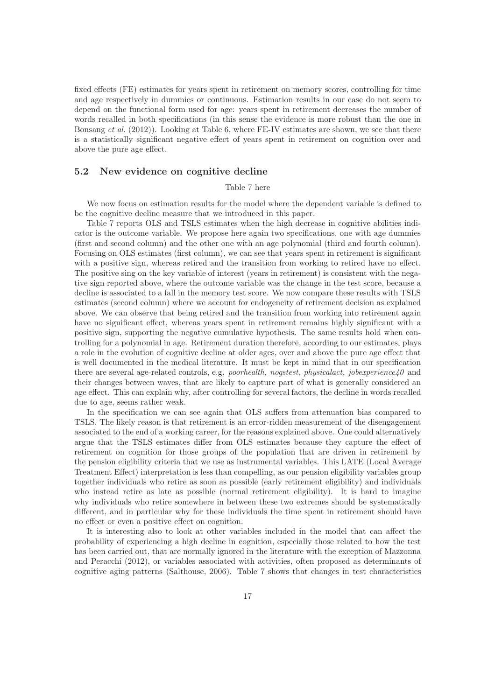fixed effects (FE) estimates for years spent in retirement on memory scores, controlling for time and age respectively in dummies or continuous. Estimation results in our case do not seem to depend on the functional form used for age: years spent in retirement decreases the number of words recalled in both specifications (in this sense the evidence is more robust than the one in Bonsang *et al.* (2012)). Looking at Table 6, where FE-IV estimates are shown, we see that there is a statistically significant negative effect of years spent in retirement on cognition over and above the pure age effect.

### 5.2 New evidence on cognitive decline

### Table 7 here

We now focus on estimation results for the model where the dependent variable is defined to be the cognitive decline measure that we introduced in this paper.

Table 7 reports OLS and TSLS estimates when the high decrease in cognitive abilities indicator is the outcome variable. We propose here again two specifications, one with age dummies (first and second column) and the other one with an age polynomial (third and fourth column). Focusing on OLS estimates (first column), we can see that years spent in retirement is significant with a positive sign, whereas retired and the transition from working to retired have no effect. The positive sing on the key variable of interest (years in retirement) is consistent with the negative sign reported above, where the outcome variable was the change in the test score, because a decline is associated to a fall in the memory test score. We now compare these results with TSLS estimates (second column) where we account for endogeneity of retirement decision as explained above. We can observe that being retired and the transition from working into retirement again have no significant effect, whereas years spent in retirement remains highly significant with a positive sign, supporting the negative cumulative hypothesis. The same results hold when controlling for a polynomial in age. Retirement duration therefore, according to our estimates, plays a role in the evolution of cognitive decline at older ages, over and above the pure age effect that is well documented in the medical literature. It must be kept in mind that in our specification there are several age-related controls, e.g. *poorhealth, nogstest, physicalact, jobexperience40* and their changes between waves, that are likely to capture part of what is generally considered an age effect. This can explain why, after controlling for several factors, the decline in words recalled due to age, seems rather weak.

In the specification we can see again that OLS suffers from attenuation bias compared to TSLS. The likely reason is that retirement is an error-ridden measurement of the disengagement associated to the end of a working career, for the reasons explained above. One could alternatively argue that the TSLS estimates differ from OLS estimates because they capture the effect of retirement on cognition for those groups of the population that are driven in retirement by the pension eligibility criteria that we use as instrumental variables. This LATE (Local Average Treatment Effect) interpretation is less than compelling, as our pension eligibility variables group together individuals who retire as soon as possible (early retirement eligibility) and individuals who instead retire as late as possible (normal retirement eligibility). It is hard to imagine why individuals who retire somewhere in between these two extremes should be systematically different, and in particular why for these individuals the time spent in retirement should have no effect or even a positive effect on cognition.

It is interesting also to look at other variables included in the model that can affect the probability of experiencing a high decline in cognition, especially those related to how the test has been carried out, that are normally ignored in the literature with the exception of Mazzonna and Peracchi (2012), or variables associated with activities, often proposed as determinants of cognitive aging patterns (Salthouse, 2006). Table 7 shows that changes in test characteristics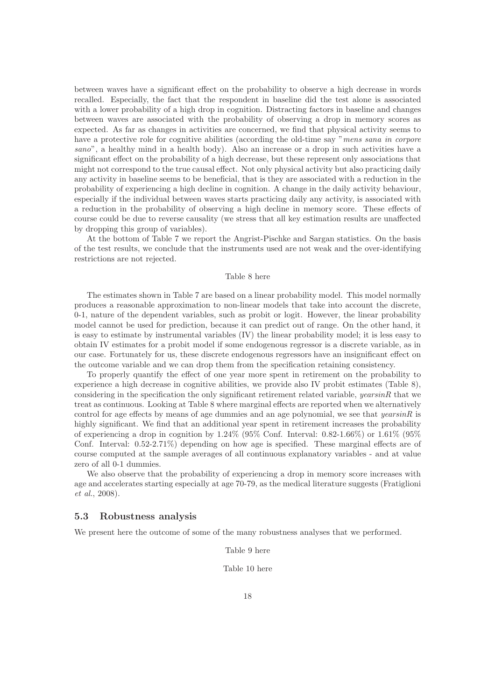between waves have a significant effect on the probability to observe a high decrease in words recalled. Especially, the fact that the respondent in baseline did the test alone is associated with a lower probability of a high drop in cognition. Distracting factors in baseline and changes between waves are associated with the probability of observing a drop in memory scores as expected. As far as changes in activities are concerned, we find that physical activity seems to have a protective role for cognitive abilities (according the old-time say "mens sana in corpore sano", a healthy mind in a health body). Also an increase or a drop in such activities have a significant effect on the probability of a high decrease, but these represent only associations that might not correspond to the true causal effect. Not only physical activity but also practicing daily any activity in baseline seems to be beneficial, that is they are associated with a reduction in the probability of experiencing a high decline in cognition. A change in the daily activity behaviour, especially if the individual between waves starts practicing daily any activity, is associated with a reduction in the probability of observing a high decline in memory score. These effects of course could be due to reverse causality (we stress that all key estimation results are unaffected by dropping this group of variables).

At the bottom of Table 7 we report the Angrist-Pischke and Sargan statistics. On the basis of the test results, we conclude that the instruments used are not weak and the over-identifying restrictions are not rejected.

#### Table 8 here

The estimates shown in Table 7 are based on a linear probability model. This model normally produces a reasonable approximation to non-linear models that take into account the discrete, 0-1, nature of the dependent variables, such as probit or logit. However, the linear probability model cannot be used for prediction, because it can predict out of range. On the other hand, it is easy to estimate by instrumental variables (IV) the linear probability model; it is less easy to obtain IV estimates for a probit model if some endogenous regressor is a discrete variable, as in our case. Fortunately for us, these discrete endogenous regressors have an insignificant effect on the outcome variable and we can drop them from the specification retaining consistency.

To properly quantify the effect of one year more spent in retirement on the probability to experience a high decrease in cognitive abilities, we provide also IV probit estimates (Table 8), considering in the specification the only significant retirement related variable, *yearsinR* that we treat as continuous. Looking at Table 8 where marginal effects are reported when we alternatively control for age effects by means of age dummies and an age polynomial, we see that  $yearsinR$  is highly significant. We find that an additional year spent in retirement increases the probability of experiencing a drop in cognition by  $1.24\%$  (95% Conf. Interval: 0.82-1.66%) or 1.61% (95% Conf. Interval: 0.52-2.71%) depending on how age is specified. These marginal effects are of course computed at the sample averages of all continuous explanatory variables - and at value zero of all 0-1 dummies.

We also observe that the probability of experiencing a drop in memory score increases with age and accelerates starting especially at age 70-79, as the medical literature suggests (Fratiglioni et al., 2008).

### 5.3 Robustness analysis

We present here the outcome of some of the many robustness analyses that we performed.

Table 9 here

Table 10 here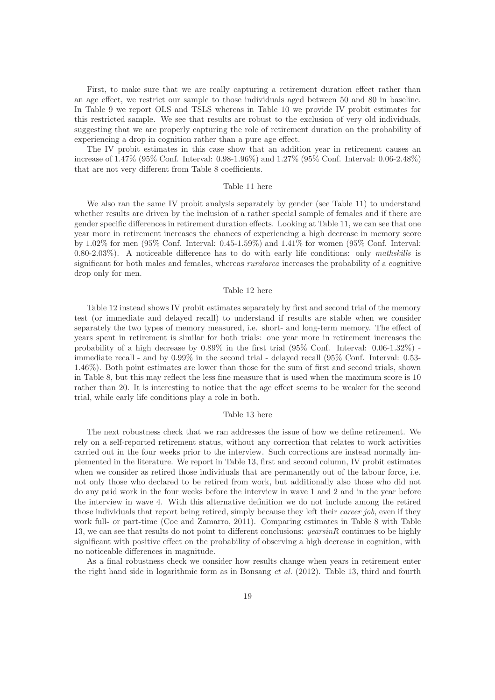First, to make sure that we are really capturing a retirement duration effect rather than an age effect, we restrict our sample to those individuals aged between 50 and 80 in baseline. In Table 9 we report OLS and TSLS whereas in Table 10 we provide IV probit estimates for this restricted sample. We see that results are robust to the exclusion of very old individuals, suggesting that we are properly capturing the role of retirement duration on the probability of experiencing a drop in cognition rather than a pure age effect.

The IV probit estimates in this case show that an addition year in retirement causes an increase of 1.47% (95% Conf. Interval: 0.98-1.96%) and 1.27% (95% Conf. Interval: 0.06-2.48%) that are not very different from Table 8 coefficients.

#### Table 11 here

We also ran the same IV probit analysis separately by gender (see Table 11) to understand whether results are driven by the inclusion of a rather special sample of females and if there are gender specific differences in retirement duration effects. Looking at Table 11, we can see that one year more in retirement increases the chances of experiencing a high decrease in memory score by 1.02% for men (95% Conf. Interval: 0.45-1.59%) and 1.41% for women (95% Conf. Interval: 0.80-2.03%). A noticeable difference has to do with early life conditions: only mathskills is significant for both males and females, whereas *ruralarea* increases the probability of a cognitive drop only for men.

#### Table 12 here

Table 12 instead shows IV probit estimates separately by first and second trial of the memory test (or immediate and delayed recall) to understand if results are stable when we consider separately the two types of memory measured, i.e. short- and long-term memory. The effect of years spent in retirement is similar for both trials: one year more in retirement increases the probability of a high decrease by 0.89% in the first trial (95% Conf. Interval: 0.06-1.32%) immediate recall - and by 0.99% in the second trial - delayed recall (95% Conf. Interval: 0.53- 1.46%). Both point estimates are lower than those for the sum of first and second trials, shown in Table 8, but this may reflect the less fine measure that is used when the maximum score is 10 rather than 20. It is interesting to notice that the age effect seems to be weaker for the second trial, while early life conditions play a role in both.

#### Table 13 here

The next robustness check that we ran addresses the issue of how we define retirement. We rely on a self-reported retirement status, without any correction that relates to work activities carried out in the four weeks prior to the interview. Such corrections are instead normally implemented in the literature. We report in Table 13, first and second column, IV probit estimates when we consider as retired those individuals that are permanently out of the labour force, i.e. not only those who declared to be retired from work, but additionally also those who did not do any paid work in the four weeks before the interview in wave 1 and 2 and in the year before the interview in wave 4. With this alternative definition we do not include among the retired those individuals that report being retired, simply because they left their *career job*, even if they work full- or part-time (Coe and Zamarro, 2011). Comparing estimates in Table 8 with Table 13, we can see that results do not point to different conclusions:  $years$  continues to be highly significant with positive effect on the probability of observing a high decrease in cognition, with no noticeable differences in magnitude.

As a final robustness check we consider how results change when years in retirement enter the right hand side in logarithmic form as in Bonsang et al. (2012). Table 13, third and fourth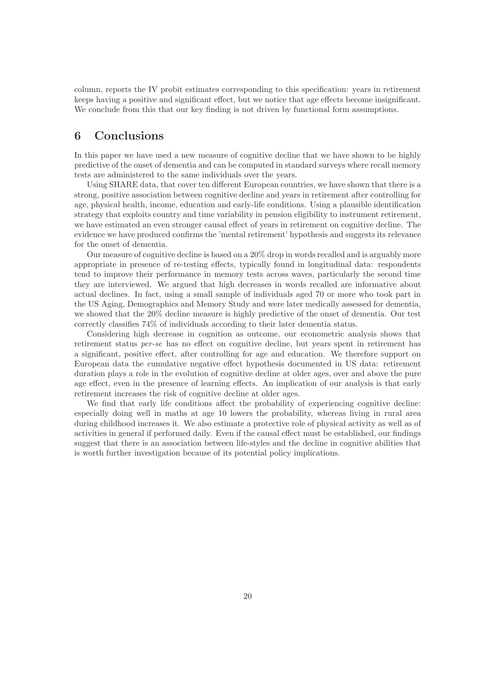column, reports the IV probit estimates corresponding to this specification: years in retirement keeps having a positive and significant effect, but we notice that age effects become insignificant. We conclude from this that our key finding is not driven by functional form assumptions.

### 6 Conclusions

In this paper we have used a new measure of cognitive decline that we have shown to be highly predictive of the onset of dementia and can be computed in standard surveys where recall memory tests are administered to the same individuals over the years.

Using SHARE data, that cover ten different European countries, we have shown that there is a strong, positive association between cognitive decline and years in retirement after controlling for age, physical health, income, education and early-life conditions. Using a plausible identification strategy that exploits country and time variability in pension eligibility to instrument retirement, we have estimated an even stronger causal effect of years in retirement on cognitive decline. The evidence we have produced confirms the 'mental retirement' hypothesis and suggests its relevance for the onset of dementia.

Our measure of cognitive decline is based on a 20% drop in words recalled and is arguably more appropriate in presence of re-testing effects, typically found in longitudinal data: respondents tend to improve their performance in memory tests across waves, particularly the second time they are interviewed. We argued that high decreases in words recalled are informative about actual declines. In fact, using a small sample of individuals aged 70 or more who took part in the US Aging, Demographics and Memory Study and were later medically assessed for dementia, we showed that the 20% decline measure is highly predictive of the onset of dementia. Our test correctly classifies 74% of individuals according to their later dementia status.

Considering high decrease in cognition as outcome, our econometric analysis shows that retirement status per-se has no effect on cognitive decline, but years spent in retirement has a significant, positive effect, after controlling for age and education. We therefore support on European data the cumulative negative effect hypothesis documented in US data: retirement duration plays a role in the evolution of cognitive decline at older ages, over and above the pure age effect, even in the presence of learning effects. An implication of our analysis is that early retirement increases the risk of cognitive decline at older ages.

We find that early life conditions affect the probability of experiencing cognitive decline: especially doing well in maths at age 10 lowers the probability, whereas living in rural area during childhood increases it. We also estimate a protective role of physical activity as well as of activities in general if performed daily. Even if the causal effect must be established, our findings suggest that there is an association between life-styles and the decline in cognitive abilities that is worth further investigation because of its potential policy implications.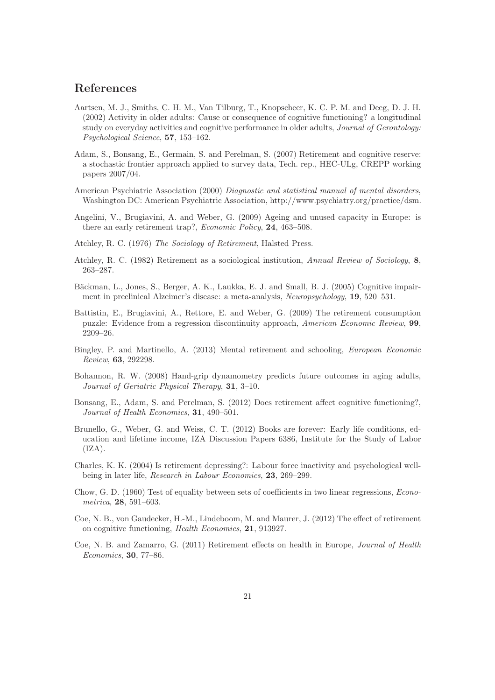### References

- Aartsen, M. J., Smiths, C. H. M., Van Tilburg, T., Knopscheer, K. C. P. M. and Deeg, D. J. H. (2002) Activity in older adults: Cause or consequence of cognitive functioning? a longitudinal study on everyday activities and cognitive performance in older adults, Journal of Gerontology: Psychological Science, 57, 153–162.
- Adam, S., Bonsang, E., Germain, S. and Perelman, S. (2007) Retirement and cognitive reserve: a stochastic frontier approach applied to survey data, Tech. rep., HEC-ULg, CREPP working papers 2007/04.
- American Psychiatric Association (2000) Diagnostic and statistical manual of mental disorders, Washington DC: American Psychiatric Association, http://www.psychiatry.org/practice/dsm.
- Angelini, V., Brugiavini, A. and Weber, G. (2009) Ageing and unused capacity in Europe: is there an early retirement trap?, Economic Policy, 24, 463–508.
- Atchley, R. C. (1976) The Sociology of Retirement, Halsted Press.
- Atchley, R. C. (1982) Retirement as a sociological institution, Annual Review of Sociology, 8, 263–287.
- Bäckman, L., Jones, S., Berger, A. K., Laukka, E. J. and Small, B. J. (2005) Cognitive impairment in preclinical Alzeimer's disease: a meta-analysis, Neuropsychology, 19, 520–531.
- Battistin, E., Brugiavini, A., Rettore, E. and Weber, G. (2009) The retirement consumption puzzle: Evidence from a regression discontinuity approach, American Economic Review, 99, 2209–26.
- Bingley, P. and Martinello, A. (2013) Mental retirement and schooling, European Economic Review, 63, 292298.
- Bohannon, R. W. (2008) Hand-grip dynamometry predicts future outcomes in aging adults, Journal of Geriatric Physical Therapy, 31, 3–10.
- Bonsang, E., Adam, S. and Perelman, S. (2012) Does retirement affect cognitive functioning?, Journal of Health Economics, 31, 490–501.
- Brunello, G., Weber, G. and Weiss, C. T. (2012) Books are forever: Early life conditions, education and lifetime income, IZA Discussion Papers 6386, Institute for the Study of Labor  $(IZA).$
- Charles, K. K. (2004) Is retirement depressing?: Labour force inactivity and psychological wellbeing in later life, Research in Labour Economics, 23, 269–299.
- Chow, G. D. (1960) Test of equality between sets of coefficients in two linear regressions, Econometrica, 28, 591–603.
- Coe, N. B., von Gaudecker, H.-M., Lindeboom, M. and Maurer, J. (2012) The effect of retirement on cognitive functioning, Health Economics, 21, 913927.
- Coe, N. B. and Zamarro, G. (2011) Retirement effects on health in Europe, Journal of Health Economics, 30, 77–86.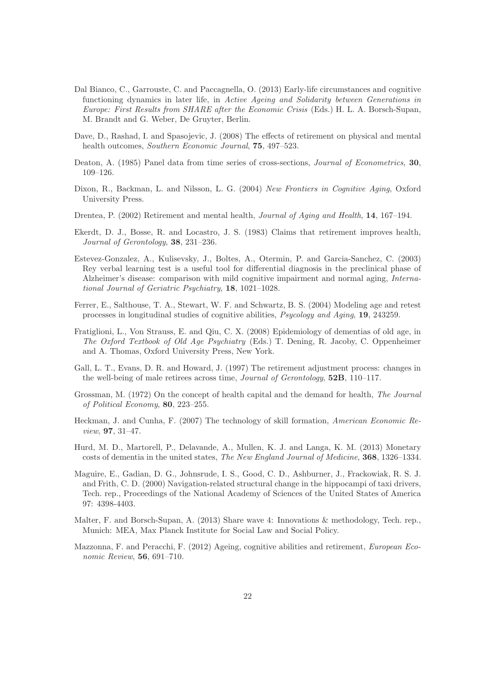- Dal Bianco, C., Garrouste, C. and Paccagnella, O. (2013) Early-life circumstances and cognitive functioning dynamics in later life, in Active Ageing and Solidarity between Generations in Europe: First Results from SHARE after the Economic Crisis (Eds.) H. L. A. Borsch-Supan, M. Brandt and G. Weber, De Gruyter, Berlin.
- Dave, D., Rashad, I. and Spasojevic, J. (2008) The effects of retirement on physical and mental health outcomes, Southern Economic Journal, 75, 497–523.
- Deaton, A. (1985) Panel data from time series of cross-sections, *Journal of Econometrics*, 30, 109–126.
- Dixon, R., Backman, L. and Nilsson, L. G. (2004) New Frontiers in Cognitive Aging, Oxford University Press.
- Drentea, P. (2002) Retirement and mental health, Journal of Aging and Health, 14, 167–194.
- Ekerdt, D. J., Bosse, R. and Locastro, J. S. (1983) Claims that retirement improves health, Journal of Gerontology, 38, 231–236.
- Estevez-Gonzalez, A., Kulisevsky, J., Boltes, A., Otermin, P. and Garcia-Sanchez, C. (2003) Rey verbal learning test is a useful tool for differential diagnosis in the preclinical phase of Alzheimer's disease: comparison with mild cognitive impairment and normal aging, International Journal of Geriatric Psychiatry, 18, 1021–1028.
- Ferrer, E., Salthouse, T. A., Stewart, W. F. and Schwartz, B. S. (2004) Modeling age and retest processes in longitudinal studies of cognitive abilities, Psycology and Aging, 19, 243259.
- Fratiglioni, L., Von Strauss, E. and Qiu, C. X. (2008) Epidemiology of dementias of old age, in The Oxford Textbook of Old Age Psychiatry (Eds.) T. Dening, R. Jacoby, C. Oppenheimer and A. Thomas, Oxford University Press, New York.
- Gall, L. T., Evans, D. R. and Howard, J. (1997) The retirement adjustment process: changes in the well-being of male retirees across time, Journal of Gerontology, 52B, 110–117.
- Grossman, M. (1972) On the concept of health capital and the demand for health, The Journal of Political Economy, 80, 223–255.
- Heckman, J. and Cunha, F. (2007) The technology of skill formation, American Economic Review, 97, 31–47.
- Hurd, M. D., Martorell, P., Delavande, A., Mullen, K. J. and Langa, K. M. (2013) Monetary costs of dementia in the united states, The New England Journal of Medicine, 368, 1326–1334.
- Maguire, E., Gadian, D. G., Johnsrude, I. S., Good, C. D., Ashburner, J., Frackowiak, R. S. J. and Frith, C. D. (2000) Navigation-related structural change in the hippocampi of taxi drivers, Tech. rep., Proceedings of the National Academy of Sciences of the United States of America 97: 4398-4403.
- Malter, F. and Borsch-Supan, A. (2013) Share wave 4: Innovations & methodology, Tech. rep., Munich: MEA, Max Planck Institute for Social Law and Social Policy.
- Mazzonna, F. and Peracchi, F. (2012) Ageing, cognitive abilities and retirement, European Economic Review, 56, 691–710.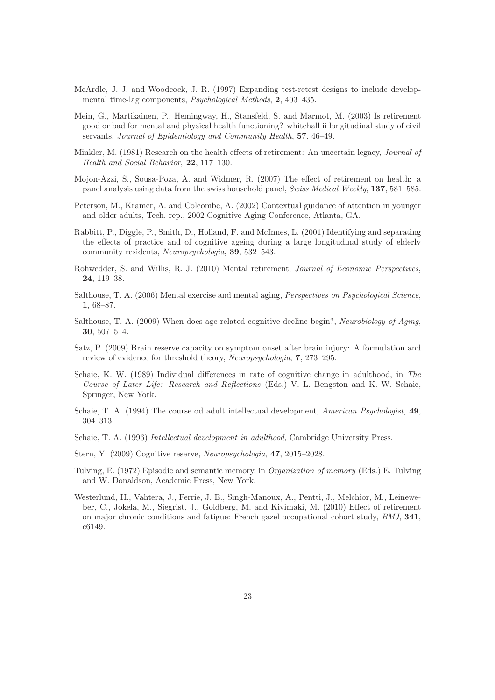- McArdle, J. J. and Woodcock, J. R. (1997) Expanding test-retest designs to include developmental time-lag components, Psychological Methods, 2, 403–435.
- Mein, G., Martikainen, P., Hemingway, H., Stansfeld, S. and Marmot, M. (2003) Is retirement good or bad for mental and physical health functioning? whitehall ii longitudinal study of civil servants, Journal of Epidemiology and Community Health, 57, 46-49.
- Minkler, M. (1981) Research on the health effects of retirement: An uncertain legacy, Journal of Health and Social Behavior, 22, 117–130.
- Mojon-Azzi, S., Sousa-Poza, A. and Widmer, R. (2007) The effect of retirement on health: a panel analysis using data from the swiss household panel, Swiss Medical Weekly, 137, 581–585.
- Peterson, M., Kramer, A. and Colcombe, A. (2002) Contextual guidance of attention in younger and older adults, Tech. rep., 2002 Cognitive Aging Conference, Atlanta, GA.
- Rabbitt, P., Diggle, P., Smith, D., Holland, F. and McInnes, L. (2001) Identifying and separating the effects of practice and of cognitive ageing during a large longitudinal study of elderly community residents, Neuropsychologia, 39, 532–543.
- Rohwedder, S. and Willis, R. J. (2010) Mental retirement, Journal of Economic Perspectives, 24, 119–38.
- Salthouse, T. A. (2006) Mental exercise and mental aging, Perspectives on Psychological Science, 1, 68–87.
- Salthouse, T. A. (2009) When does age-related cognitive decline begin?, Neurobiology of Aging, 30, 507–514.
- Satz, P. (2009) Brain reserve capacity on symptom onset after brain injury: A formulation and review of evidence for threshold theory, Neuropsychologia, 7, 273–295.
- Schaie, K. W. (1989) Individual differences in rate of cognitive change in adulthood, in The Course of Later Life: Research and Reflections (Eds.) V. L. Bengston and K. W. Schaie, Springer, New York.
- Schaie, T. A. (1994) The course od adult intellectual development, American Psychologist, 49, 304–313.
- Schaie, T. A. (1996) Intellectual development in adulthood, Cambridge University Press.
- Stern, Y. (2009) Cognitive reserve, Neuropsychologia, 47, 2015–2028.
- Tulving, E. (1972) Episodic and semantic memory, in Organization of memory (Eds.) E. Tulving and W. Donaldson, Academic Press, New York.
- Westerlund, H., Vahtera, J., Ferrie, J. E., Singh-Manoux, A., Pentti, J., Melchior, M., Leineweber, C., Jokela, M., Siegrist, J., Goldberg, M. and Kivimaki, M. (2010) Effect of retirement on major chronic conditions and fatigue: French gazel occupational cohort study, BMJ, 341, c6149.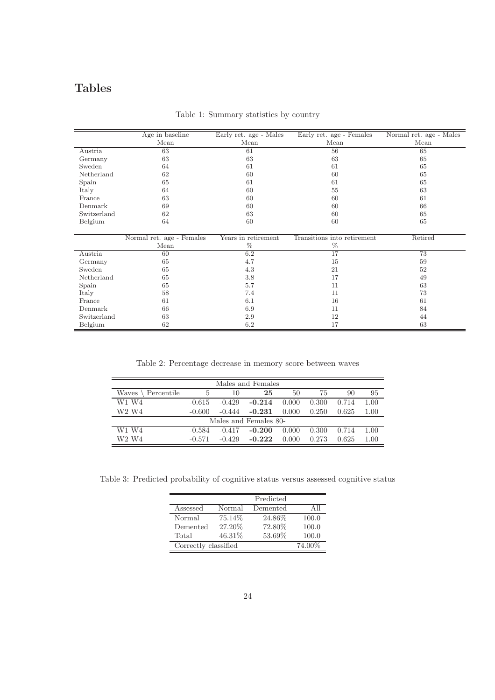## Tables

|             | Age in baseline           | Early ret. age - Males | Early ret. age - Females    | Normal ret. age - Males |
|-------------|---------------------------|------------------------|-----------------------------|-------------------------|
|             | Mean                      | Mean                   | Mean                        | Mean                    |
| Austria     | 63                        | 61                     | 56                          | 65                      |
| Germany     | 63                        | 63                     | 63                          | 65                      |
| Sweden      | 64                        | 61                     | 61                          | 65                      |
| Netherland  | 62                        | 60                     | 60                          | 65                      |
| Spain       | 65                        | 61                     | 61                          | 65                      |
| Italy       | 64                        | 60                     | 55                          | 63                      |
| France      | 63                        | 60                     | 60                          | 61                      |
| Denmark     | 69                        | 60                     | 60                          | 66                      |
| Switzerland | 62                        | 63                     | 60                          | 65                      |
| Belgium     | 64                        | 60                     | 60                          | 65                      |
|             |                           |                        |                             |                         |
|             | Normal ret. age - Females | Years in retirement    | Transitions into retirement | Retired                 |
|             | Mean                      | %                      | %                           |                         |
| Austria     | 60                        | 6.2                    | $\overline{17}$             | 73                      |
| Germany     | 65                        | 4.7                    | 15                          | 59                      |
| Sweden      | 65                        | 4.3                    | 21                          | 52                      |
| Netherland  | 65                        | 3.8                    | 17                          | 49                      |
| Spain       | 65                        | 5.7                    | 11                          | 63                      |
| Italy       | 58                        | 7.4                    | 11                          | 73                      |
| France      | 61                        | 6.1                    | 16                          | 61                      |
| Denmark     | 66                        | 6.9                    | 11                          | 84                      |
| Switzerland | 63                        | 2.9                    | 12                          | 44                      |
| Belgium     | 62                        | 6.2                    | 17                          | 63                      |

Table 1: Summary statistics by country

Table 2: Percentage decrease in memory score between waves

|                               |          |          | Males and Females     |       |       |       |          |
|-------------------------------|----------|----------|-----------------------|-------|-------|-------|----------|
| Waves<br>Percentile           | 5        | 10       | 25                    | 50    | 75    | 90    | 95       |
| W1 W4                         | $-0.615$ | $-0.429$ | $-0.214$              | 0.000 | 0.300 | 0.714 | 1.00     |
| W <sub>2</sub> W <sub>4</sub> | $-0.600$ | $-0.444$ | $-0.231$              | 0.000 | 0.250 | 0.625 | 1.00     |
|                               |          |          | Males and Females 80- |       |       |       |          |
| W1 W4                         | $-0.584$ | $-0.417$ | $-0.200$              | 0.000 | 0.300 | 0.714 | 1.00     |
| W2 W4                         | $-0.571$ | $-0.429$ | $-0.222$              | 0.000 | 0.273 | 0.625 | $1.00\,$ |

Table 3: Predicted probability of cognitive status versus assessed cognitive status

|                      |        | Predicted |        |
|----------------------|--------|-----------|--------|
| Assessed             | Normal | Demented  | Аll    |
| Normal               | 75.14% | 24.86%    | 100.0  |
| Demented             | 27.20% | 72.80%    | 100.0  |
| Total                | 46.31% | 53.69%    | 100.0  |
| Correctly classified |        |           | 74.00% |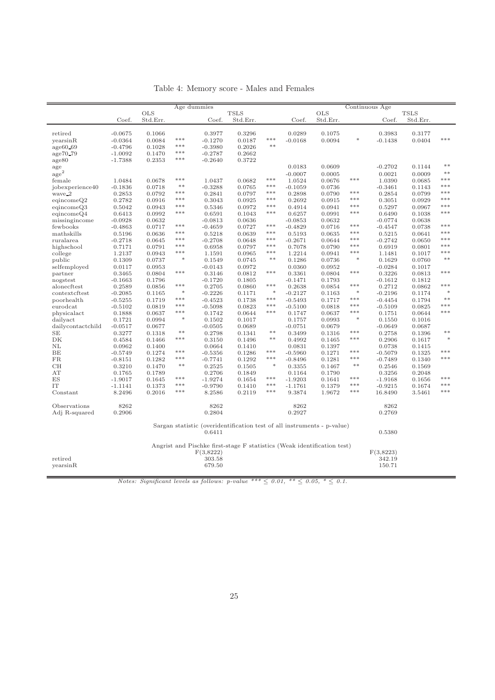|                              |                     |                  |                  | Age dummies         |                                                                         |                |                     |                  |                    | Continuous Age      |                  |                |
|------------------------------|---------------------|------------------|------------------|---------------------|-------------------------------------------------------------------------|----------------|---------------------|------------------|--------------------|---------------------|------------------|----------------|
|                              |                     | <b>OLS</b>       |                  |                     | <b>TSLS</b>                                                             |                |                     | <b>OLS</b>       |                    |                     | <b>TSLS</b>      |                |
|                              | Coef.               | Std.Err.         |                  | Coef.               | Std.Err.                                                                |                | Coef.               | Std.Err.         |                    | Coef.               | Std.Err.         |                |
|                              |                     |                  |                  |                     |                                                                         |                |                     |                  |                    |                     |                  |                |
| retired                      | $-0.0675$           | 0.1066           |                  | 0.3977              | 0.3296                                                                  |                | 0.0289              | 0.1075           |                    | 0.3983              | 0.3177           |                |
| yearsinR                     | $-0.0364$           | 0.0084           | $***$            | $-0.1270$           | 0.0187                                                                  | $***$          | $-0.0168$           | 0.0094           | ∗                  | $-0.1438$           | 0.0404           | ***            |
| age60.69                     | $-0.4796$           | 0.1028           | $***$            | $-0.3980$           | 0.2026                                                                  | $\ast\ast$     |                     |                  |                    |                     |                  |                |
| age70_79                     | $-1.0092$           | 0.1470           | $* * *$          | $-0.2787$           | 0.2662                                                                  |                |                     |                  |                    |                     |                  |                |
| age80                        | $-1.7388$           | 0.2353           | ***              | $-0.2640$           | 0.3722                                                                  |                |                     |                  |                    |                     |                  |                |
| age                          |                     |                  |                  |                     |                                                                         |                | 0.0183              | 0.0609           |                    | $-0.2702$           | 0.1144           | $**$           |
| $\rm{age}^2$                 |                     |                  |                  |                     |                                                                         |                | $-0.0007$           | 0.0005           |                    | 0.0021              | 0.0009           | $**$           |
| female                       | 1.0484              | 0.0678           | $* * *$          | 1.0437              | 0.0682                                                                  | $***$          | 1.0524              | 0.0676           | $***$              | 1.0390              | 0.0685           | ***            |
| jobexperience40              | $-0.1836$           | 0.0718           | $**$             | $-0.3288$           | 0.0765                                                                  | $\ast\ast\ast$ | $-0.1059$           | 0.0736           |                    | $-0.3461$           | 0.1143           | $\ast\ast\ast$ |
| wave_2                       | 0.2853              | 0.0792           | $* * *$          | 0.2841              | 0.0797                                                                  | $***$          | 0.2898              | 0.0790           | ***                | 0.2854              | 0.0799           | ***            |
| eqincomeQ2                   | 0.2782              | 0.0916           | ***              | 0.3043              | 0.0925                                                                  | ***            | 0.2692              | 0.0915           | $* * *$            | 0.3051              | 0.0929           | ***            |
| eqincomeQ3                   | 0.5042              | 0.0943           | ***              | 0.5346              | 0.0972                                                                  | $\ast\ast\ast$ | 0.4914              | 0.0941           | ***                | 0.5297              | 0.0967           | $* * *$        |
| eqincomeQ4                   | 0.6413              | 0.0992           | ***              | 0.6591              | 0.1043                                                                  | $***$          | 0.6257              | 0.0991           | $\ast\ast\ast$     | 0.6490              | 0.1038           | $***$          |
| missingincome                | $-0.0928$           | 0.0632           |                  | $-0.0813$           | 0.0636                                                                  |                | $-0.0853$           | 0.0632           |                    | $-0.0774$           | 0.0638           |                |
| fewbooks                     | $-0.4863$           | 0.0717           | $* * *$          | $-0.4659$           | 0.0727                                                                  | ***            | $-0.4829$           | 0.0716           | $***$              | $-0.4547$           | 0.0738           | ***<br>***     |
| mathskills                   | 0.5196              | 0.0636           | $***$            | 0.5218              | 0.0639                                                                  | $***$          | 0.5193              | 0.0635           | $***$              | 0.5215              | 0.0641           |                |
| ruralarea                    | $-0.2718$           | 0.0645           | ***              | $-0.2708$           | 0.0648                                                                  | ***            | $-0.2671$           | 0.0644           | ***                | $-0.2742$           | 0.0650           | $***$<br>$***$ |
| highschool                   | 0.7171              | 0.0791           | $* * *$<br>$***$ | 0.6958              | 0.0797                                                                  | $***$<br>$***$ | 0.7078              | 0.0790           | $* * *$<br>$***$   | 0.6919              | 0.0801           | ***            |
| college                      | 1.2137              | 0.0943           | $\ast$           | 1.1591              | 0.0965                                                                  | $\ast\ast$     | 1.2214              | 0.0941           | $*$                | 1.1481              | 0.1017           | $**$           |
| public                       | 0.1309              | 0.0737           |                  | 0.1549              | 0.0745                                                                  |                | 0.1286              | 0.0736           |                    | 0.1629              | 0.0760           |                |
| selfemployed                 | 0.0117              | 0.0953           | $\ast\ast\ast$   | $-0.0143$           | 0.0972                                                                  | $* * *$        | 0.0360              | 0.0952           | $***$              | $-0.0284$           | 0.1017           | $* * *$        |
| partner                      | 0.3465              | 0.0804           |                  | 0.3146              | 0.0812                                                                  |                | 0.3361              | 0.0804           |                    | 0.3226              | 0.0813           |                |
| nogstest                     | $-0.1663$           | 0.1796           | $* * *$          | $-0.1720$           | 0.1805                                                                  | $***$          | $-0.1471$           | 0.1793           | $\ast\ast\ast$     | $-0.1612$           | 0.1812           | ***            |
| alonecftest<br>contextcftest | 0.2589<br>$-0.2085$ | 0.0856<br>0.1165 | $\ast$           | 0.2705<br>$-0.2226$ | 0.0860<br>0.1171                                                        | $\ast$         | 0.2638<br>$-0.2127$ | 0.0854<br>0.1163 | $\ast$             | 0.2712<br>$-0.2196$ | 0.0862<br>0.1174 | $\ast$         |
| poorhealth                   | $-0.5255$           | 0.1719           | ***              | $-0.4523$           | 0.1738                                                                  | ***            | $-0.5493$           | 0.1717           | $* * *$            | $-0.4454$           | 0.1794           | $**$           |
| eurodcat                     | $-0.5102$           | 0.0819           | $***$            | $-0.5098$           | 0.0823                                                                  | $***$          | $-0.5100$           | 0.0818           | $***$              | $-0.5109$           | 0.0825           | $* * *$        |
| physicalact                  | 0.1888              | 0.0637           | ***              | 0.1742              | 0.0644                                                                  | $***$          | 0.1747              | 0.0637           | $\ast\ast\ast$     | 0.1751              | 0.0644           | $* * *$        |
| dailyact                     | 0.1721              | 0.0994           | $\ast$           | 0.1502              | 0.1017                                                                  |                | 0.1757              | 0.0993           | $\ast$             | 0.1550              | 0.1016           |                |
| dailycontactchild            | $-0.0517$           | 0.0677           |                  | $-0.0505$           | 0.0689                                                                  |                | $-0.0751$           | 0.0679           |                    | $-0.0649$           | 0.0687           |                |
| <b>SE</b>                    | 0.3277              | 0.1318           | $**$             | 0.2798              | 0.1341                                                                  | $\ast\ast$     | 0.3499              | 0.1316           | $* * *$            | 0.2758              | 0.1396           | $**$           |
| DK                           | 0.4584              | 0.1466           | $\ast\ast\ast$   | 0.3150              | 0.1496                                                                  | $\ast\ast$     | 0.4992              | 0.1465           | $\ast\!\ast\!\ast$ | 0.2906              | 0.1617           | $\ast$         |
| NL                           | 0.0962              | 0.1400           |                  | 0.0664              | 0.1410                                                                  |                | 0.0831              | 0.1397           |                    | 0.0738              | 0.1415           |                |
| BE                           | $-0.5749$           | 0.1274           | $* * *$          | $-0.5356$           | 0.1286                                                                  | $***$          | $-0.5960$           | 0.1271           | $* * *$            | $-0.5079$           | 0.1325           | $***$          |
| <b>FR</b>                    | $-0.8151$           | 0.1282           | $* * *$          | $-0.7741$           | 0.1292                                                                  | $***$          | $-0.8496$           | 0.1281           | $\ast\ast\ast$     | $-0.7489$           | 0.1340           | $***$          |
| CH                           | 0.3210              | 0.1470           | $**$             | 0.2525              | 0.1505                                                                  | $\ast$         | 0.3355              | 0.1467           | $*\ast$            | 0.2546              | 0.1569           |                |
| AT                           | 0.1765              | 0.1789           |                  | 0.2706              | 0.1849                                                                  |                | 0.1164              | 0.1790           |                    | 0.3256              | 0.2048           |                |
| ES                           | $-1.9017$           | 0.1645           | $* * *$          | $-1.9274$           | 0.1654                                                                  | $* * *$        | $-1.9203$           | 0.1641           | $***$              | $-1.9168$           | 0.1656           | ***            |
| IT                           | $-1.1141$           | 0.1373           | $\ast\ast\ast$   | $-0.9790$           | 0.1410                                                                  | $***$          | $-1.1761$           | 0.1379           | $***$              | $-0.9215$           | 0.1674           | $***$          |
| Constant                     | 8.2496              | 0.2016           | $***$            | 8.2586              | 0.2119                                                                  | $***$          | 9.3874              | 1.9672           | $* * *$            | 16.8490             | 3.5461           | $***$          |
| Observations                 | 8262                |                  |                  | 8262                |                                                                         |                | 8262                |                  |                    | 8262                |                  |                |
| Adj R-squared                | 0.2906              |                  |                  | 0.2804              |                                                                         |                | 0.2927              |                  |                    | 0.2769              |                  |                |
|                              |                     |                  |                  |                     |                                                                         |                |                     |                  |                    |                     |                  |                |
|                              |                     |                  |                  | 0.6411              | Sargan statistic (overidentification test of all instruments - p-value) |                |                     |                  |                    | 0.5380              |                  |                |
|                              |                     |                  |                  |                     | Angrist and Pischke first-stage F statistics (Weak identification test) |                |                     |                  |                    |                     |                  |                |
|                              |                     |                  |                  | F(3,8222)           |                                                                         |                |                     |                  |                    | F(3,8223)           |                  |                |
| retired                      |                     |                  |                  | 303.58              |                                                                         |                |                     |                  |                    | 342.19              |                  |                |
| yearsinR                     |                     |                  |                  | 679.50              |                                                                         |                |                     |                  |                    | 150.71              |                  |                |
|                              |                     |                  |                  |                     |                                                                         |                |                     |                  |                    |                     |                  |                |

Table 4: Memory score - Males and Females

Notes: Significant levels as follows: p-value \*\*\*  $\leq$  0.01, \*\*  $\leq$  0.05, \*  $\leq$  0.1.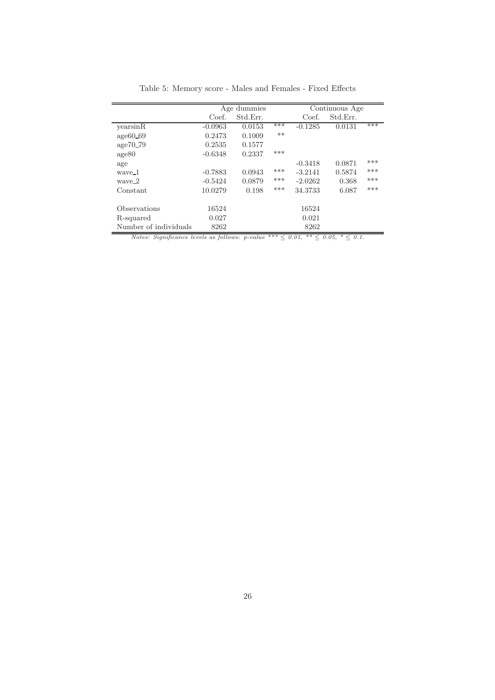|                       |           | Age dummies |       |           | Continuous Age |     |
|-----------------------|-----------|-------------|-------|-----------|----------------|-----|
|                       | Coef.     | Std.Err.    |       | Coef.     | Std.Err.       |     |
| yearsinR              | $-0.0963$ | 0.0153      | ***   | $-0.1285$ | 0.0131         | *** |
| $age60_69$            | 0.2473    | 0.1009      | $***$ |           |                |     |
| age70.79              | 0.2535    | 0.1577      |       |           |                |     |
| age80                 | $-0.6348$ | 0.2337      | ***   |           |                |     |
| age                   |           |             |       | $-0.3418$ | 0.0871         | *** |
| waye_1                | $-0.7883$ | 0.0943      | ***   | $-3.2141$ | 0.5874         | *** |
| wave_2                | $-0.5424$ | 0.0879      | $***$ | $-2.0262$ | 0.368          | *** |
| Constant              | 10.0279   | 0.198       | ***   | 34.3733   | 6.087          | *** |
| Observations          | 16524     |             |       | 16524     |                |     |
| R-squared             | 0.027     |             |       | 0.021     |                |     |
| Number of individuals | 8262      |             |       | 8262      |                |     |

Table 5: Memory score - Males and Females - Fixed Effects

Notes: Significance levels as follows: p-value \*\*\*  $\leq 0.01,$  \*\*  $\leq 0.05,$  \*  $\leq 0.1$ .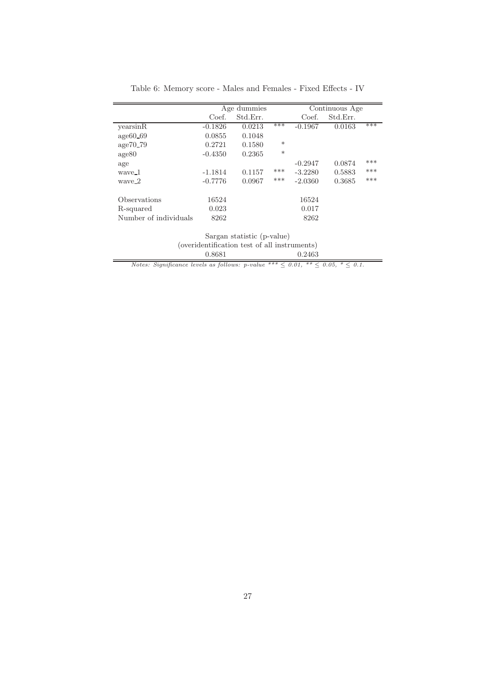|                       |           | Age dummies |        |           | Continuous Age |     |
|-----------------------|-----------|-------------|--------|-----------|----------------|-----|
|                       | Coef.     | Std.Err.    |        | Coef.     | Std.Err.       |     |
| yearsinR              | $-0.1826$ | 0.0213      | ***    | $-0.1967$ | 0.0163         | *** |
| $age60_69$            | 0.0855    | 0.1048      |        |           |                |     |
| age70.79              | 0.2721    | 0.1580      | $\ast$ |           |                |     |
| age80                 | $-0.4350$ | 0.2365      | $\ast$ |           |                |     |
| age                   |           |             |        | $-0.2947$ | 0.0874         | *** |
| waye_1                | $-1.1814$ | 0.1157      | ***    | $-3.2280$ | 0.5883         | *** |
| waye_2                | $-0.7776$ | 0.0967      | $***$  | $-2.0360$ | 0.3685         | *** |
|                       |           |             |        |           |                |     |
| Observations          | 16524     |             |        | 16524     |                |     |
| R-squared             | 0.023     |             |        | 0.017     |                |     |
| Number of individuals | 8262      |             |        | 8262      |                |     |
|                       |           |             |        |           |                |     |

Table 6: Memory score - Males and Females - Fixed Effects - IV

Sargan statistic (p-value) (overidentification test of all instruments)<br> $0.8681$   $0.2463$ 0.8681 0.2463

Notes: Significance levels as follows:  $p$ -value \*\*\*  $\leq 0.01$ , \*\*  $\leq 0.05$ , \*  $\leq 0.1$ .

 $\equiv$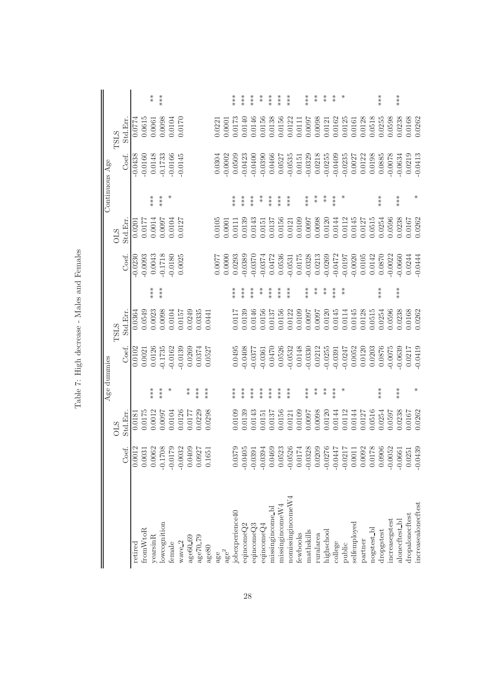|                                                                                                                                                                                                                                                                                               |                                                            |            |          | Age dummies |             |          |           |         |                                     | Continuous Age         |             |                      |
|-----------------------------------------------------------------------------------------------------------------------------------------------------------------------------------------------------------------------------------------------------------------------------------------------|------------------------------------------------------------|------------|----------|-------------|-------------|----------|-----------|---------|-------------------------------------|------------------------|-------------|----------------------|
|                                                                                                                                                                                                                                                                                               |                                                            | <b>OLS</b> |          |             | <b>TSLS</b> |          |           | STIO    |                                     |                        | <b>TSLS</b> |                      |
|                                                                                                                                                                                                                                                                                               | Coef.                                                      | Std.Err    |          | Coef.       | Std.Em.     |          | Coef.     | Std.Err |                                     | Coef.                  | Std.Err     |                      |
| retired                                                                                                                                                                                                                                                                                       |                                                            | 0.018      |          | 0.0102      | 0.0364      |          | $-0.023$  | 0.0201  |                                     | $-0.0438$              | 0.0774      |                      |
| tromWtoR                                                                                                                                                                                                                                                                                      | $0.0012$<br>$0.0031$                                       | 0.0175     |          | 0.0021      | 0.0549      |          | $-0.0093$ | 0.0177  |                                     | $-0.0160$              | 0.0615      |                      |
| yearsinR                                                                                                                                                                                                                                                                                      |                                                            | 0.0012     | ***      | 0.0126      | 0.0023      | ***      | 0.0043    | 0.0014  | ***                                 | 0.0148                 | 0.0061      | $* *$                |
| owcognition                                                                                                                                                                                                                                                                                   | $\begin{array}{c} 0.0062 \\ -0.1708 \\ \end{array}$        | 7600:0     | $***$    | $-0.1735$   | 0.0098      | ***      | $-0.1718$ | 0.007   | ***                                 | $-0.1733$              | 0.0098      | ***                  |
| emale                                                                                                                                                                                                                                                                                         |                                                            | 0.0104     | ⋇        | $-0.0162$   | 0.0104      |          | $-0.0180$ | 0.0104  | ⋇                                   | $-0.0166$              | 0.0104      |                      |
| wave <sub>2</sub>                                                                                                                                                                                                                                                                             | $-0.0032$                                                  | 0.0126     |          | $-0.0139$   | 0.0157      |          | 0.0025    | 0.0127  |                                     | $-0.0145$              | 0.0170      |                      |
| age60_69                                                                                                                                                                                                                                                                                      | 0.0409                                                     | 0.0177     | $*$      | 0.0269      | 0.0249      |          |           |         |                                     |                        |             |                      |
| age70 <sub>19</sub>                                                                                                                                                                                                                                                                           | 0.0927                                                     | 0.0229     | $***$    | 0.0374      | 0.0335      |          |           |         |                                     |                        |             |                      |
| $\text{age}80$                                                                                                                                                                                                                                                                                | 0.1651                                                     | 0.0298     | $**\ast$ | 0.0527      | 0.0441      |          |           |         |                                     |                        |             |                      |
| age                                                                                                                                                                                                                                                                                           |                                                            |            |          |             |             |          | 0.0077    | 0.0105  |                                     | 0.0304                 | 0.221       |                      |
| $\mathrm{age}^2$                                                                                                                                                                                                                                                                              |                                                            |            |          |             |             |          | 0.0000    | 0.0001  |                                     | $-0.0002$              | 0.0001      |                      |
| jobexperience40                                                                                                                                                                                                                                                                               | 0.0379                                                     | 0.0109     | $***$    | 0.0495      | 0.0117      | ***      | 0.0293    | 0.0111  | ***                                 | 0.0509                 | 0.0173      | ***                  |
| eqincome $Q2$                                                                                                                                                                                                                                                                                 | $-0.0405$                                                  | 0.0139     | ***      | $-0.0408$   | 0.0139      | ***      | $-0.0389$ | 0.0139  | ***                                 | 0.0423                 | 0.0140      | ***                  |
| eqincomeQ3                                                                                                                                                                                                                                                                                    | $-0.0391$                                                  | 0.0143     | ***      | $-0.0377$   | 0.0146      | ***      | $-0.0370$ | 0.0143  | ***                                 | $-0.0400$              | 0.0146      | $***$                |
| eqincome $Q4$                                                                                                                                                                                                                                                                                 | $-0.0394$                                                  | 0.0151     | $***$    | $-0.0361$   | 0.0156      | $* *$    | $-0.0374$ | 0.0151  | $\stackrel{*}{\scriptstyle{\star}}$ | $-0.0390$              | 0.0156      | $\stackrel{*}{\ast}$ |
| missingincome_bl                                                                                                                                                                                                                                                                              | 0.0469                                                     | 0.0137     | $***$    | 0.0470      | 0.0137      | $***$    | 0.0472    | 0.0137  | ***                                 | 0.0466                 | 0.0138      | $***$                |
| $m$ issingincome $W4$                                                                                                                                                                                                                                                                         | 0.0523                                                     | 0.0156     | $***$    | 0.0526      | 0.0156      | ***      | 0.0536    | 0.0156  | ***                                 | 0.0527                 | 0.0156      | $***$                |
| $\frac{1}{2}$ and $\frac{1}{2}$ and $\frac{1}{2}$ and $\frac{1}{2}$ and $\frac{1}{2}$ and $\frac{1}{2}$ and $\frac{1}{2}$ and $\frac{1}{2}$ and $\frac{1}{2}$ and $\frac{1}{2}$ and $\frac{1}{2}$ and $\frac{1}{2}$ and $\frac{1}{2}$ and $\frac{1}{2}$ and $\frac{1}{2}$ and $\frac{1}{2}$ a | $-0.0526$<br>$0.0174$<br>$-0.0328$                         | 0.0121     | $***$    | $-0.0532$   | 0.0122      | ***      | 0.0531    | 0.0121  | $***$                               | $-0.0535$              | 0.0122      | ***                  |
| fewbooks                                                                                                                                                                                                                                                                                      |                                                            | 0.0109     |          | 0.0148      | 0.0109      |          | 0.0175    | 0.0109  |                                     | 0.0151                 | 0.0111      |                      |
| nathskills                                                                                                                                                                                                                                                                                    |                                                            | 0.0097     | ***      | $-0.0330$   | 7600.0      | ***      | $-0.0328$ | 0.007   | ***                                 | $-0.0329$              | 0.0097      | ***                  |
| curalarea                                                                                                                                                                                                                                                                                     |                                                            | 0.0098     | $*$      | 0.0212      | 7600.0      | $* *$    | 0.0213    | 0.0098  | $* *$                               | 0.0218                 | 0.0098      | $* *$                |
| iighschool                                                                                                                                                                                                                                                                                    | $\begin{array}{c} 0.0209 \\ -0.0276 \\ \hline \end{array}$ | 0.0120     | $*$      | $-0.0255$   | 0.0120      | $*$      | 0.0269    | 0.0120  | $*$                                 | $-0.0255$<br>$-0.0409$ | 0.0121      | $* *$                |
| college                                                                                                                                                                                                                                                                                       |                                                            | 0.0144     | $***$    | $-0.0391$   | 0.0145      | $**\ast$ | $-0.0472$ | 0.0144  | $**$<br>$**$                        |                        | 0.0162      | $* \underset{*}{*}$  |
| public                                                                                                                                                                                                                                                                                        | $-0.0217$                                                  | 0.0112     | $*$      | $-0.0247$   | 0.0114      | $* *$    | $-0.0197$ | 0.0112  | ⋇                                   | $-0.0235$              | 0.0125      | ⋇                    |
| selfemployed                                                                                                                                                                                                                                                                                  | $0.0011\,$                                                 | 0.0144     |          | 0.0052      | 0.0145      |          | $-0.0020$ | 0.0145  |                                     | 0.0027                 | 0.0161      |                      |
| partner                                                                                                                                                                                                                                                                                       | 0.0092                                                     | 0.0127     |          | 0.0120      | 0.0128      |          | 0.0105    | 0.0127  |                                     | 0.0122                 | 0.0128      |                      |
| nogstest_bl                                                                                                                                                                                                                                                                                   | 0.0178                                                     | 0.0516     |          | 0.0203      | 0.0515      |          | 0.0142    | 0.0515  |                                     | 0.0198                 | 0.0518      |                      |
| dropgstest                                                                                                                                                                                                                                                                                    | 0.0906                                                     | 0.0254     | ***      | 0.0876      | 0.0254      | $***$    | 0.0870    | 0.0254  | ***                                 | 0.0885                 | 0.0255      | ***                  |
| increasegstest                                                                                                                                                                                                                                                                                | $-0.0052$                                                  | 0.0597     |          | $-0.0075$   | 0.0596      |          | $-0.0022$ | 0.0596  |                                     | $-0.0078$              | 0.0598      |                      |
| alonecftest_bl                                                                                                                                                                                                                                                                                | $-0.0661$                                                  | 0.0238     | $***$    | $-0.0639$   | 0.0238      | ***      | $-0.0660$ | 0.0238  | ***                                 | $-0.0634$              | 0.0238      | ***                  |
| dropalonecftest                                                                                                                                                                                                                                                                               | 0.0251                                                     | 0.0167     |          | 0.0217      | 0.0168      |          | 0.0244    | 0.0167  |                                     | 0.0219                 | 0.0168      |                      |
| increasealonecftest                                                                                                                                                                                                                                                                           | $-0.0439$                                                  | 0.0262     | ⋇        | $-0.0419$   | 0.0262      |          | $-0.0444$ | 0.0262  | ⋇                                   | $-0.0413$              | 0.0262      |                      |

Table 7: High decrease - Males and Females Table 7: High decrease - Males and Females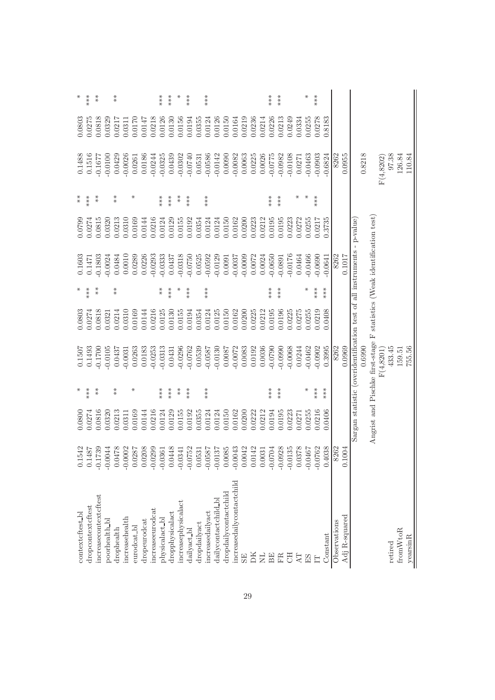|                   | ***               | $* *$                 |                       | $* \underset{\ast}{*}$ |                |                      |              |                  | $***$                         | ***             |                              | ***         |                 | ***                   |                      |                       |                            |           |                 |                       | ***       | $***$         |           |        | ⋇                        | ***       |                  |              |               |                                              |        |                                       |            |         |          |                 |
|-------------------|-------------------|-----------------------|-----------------------|------------------------|----------------|----------------------|--------------|------------------|-------------------------------|-----------------|------------------------------|-------------|-----------------|-----------------------|----------------------|-----------------------|----------------------------|-----------|-----------------|-----------------------|-----------|---------------|-----------|--------|--------------------------|-----------|------------------|--------------|---------------|----------------------------------------------|--------|---------------------------------------|------------|---------|----------|-----------------|
| 0.0803            | 0.0275            | 0.0818                | 0.0329                | 0.0217                 | 0.0311         | 0.0170               | 0.0147       | 0.0218           | 0.0126                        | 0.0130          | 0.0156                       | 0.0194      | 0.0355          | 0.0124                | 0.0126               | 0.0150                | 0.0164                     | 0.0219    | 0.0236          | 0.0214                | 0.0226    | 0.0213        | 0.0249    | 0.0334 | 0.0255                   | 0.0278    | 0.8183           |              |               |                                              |        |                                       |            |         |          |                 |
| 0.1488            | 0.1516            | $-0.1677$             | $-0.0100$             | 0.0429                 | $-0.0026$      | 0.0261               | 0.0186       | $-0.0244$        | $-0.0325$                     | 0.0439          | $-0.0302$                    | $-0.0740$   | 0.0531          | $-0.0586$             | $-0.0142$            | 0.0090                | $-0.0082$                  | 0.0063    | 0.0225          | 0.0026                | $-0.0775$ | $-0.0982$     | $-0.0108$ | 0.0271 | $-0.0463$                | $-0.0903$ | $-0.6824$        | 8262         | 0.0955        |                                              | 0.8218 |                                       | F(4, 8202) | 97.38   | 126.84   | 110.84          |
| $* \ast$          | ***               | $* *$                 |                       | $* \underset{*}{*}$    |                | ⋇                    |              |                  | $***$                         | ***             | $*$                          | ***         |                 | ***                   |                      |                       |                            |           |                 |                       | ***       | ***           |           | $\ast$ | ⋇                        | ***       |                  |              |               |                                              |        |                                       |            |         |          |                 |
| 0.0799            | 0.0274            | 0.0815                | 0.0320                | 0.0213                 | 0.0310         | 0.0169               | 0.0144       | 0.0216           | 0.0124                        | 0.0129          | 0.0155                       | 0.0192      | 0.0354          | 0.0124                | 0.0124               | 0.0150                | 0.0162                     | 0.0200    | 0.0223          | 0.0212                | 0.0195    | 0.0195        | 0.0223    | 0.0272 | 0.0255                   | 0.0217    | 0.3735           |              |               |                                              |        |                                       |            |         |          |                 |
| 0.1603            | 0.1471            | $-0.1803$             | $-0.0024$             | 0.0484                 | 0.0010         | 0.0289               | 0.0226       | 0.0293           | $-0.0333$                     | 0.0437          | $-0.0318$                    | $-0.0750$   | 0.0525          | $-0.0592$             | $-0.0129$            | 0.0091                | $-0.0037$                  | $-0.0009$ | 0.0072          | 0.0024                | $-0.0650$ | $-0.0891$     | $-0.0176$ | 0.0464 | $-0.0466$                | $-0.0690$ | 0.0641           | 8262         | 0.1017        | all instruments - p-value                    |        | statistics (Weak identification test) |            |         |          |                 |
| $*$               | ***               | $*$                   |                       | $* \underset{\ast}{*}$ |                |                      |              |                  | $* \ast$                      | ***             |                              | ***         |                 | ***                   |                      |                       |                            |           |                 |                       | ***       | ***           |           |        | ⋇                        | ***       | $***$            |              |               |                                              |        |                                       |            |         |          |                 |
| 0.0803            | 0.0274            | 0.0818                | 0.0321                | 0.0214                 | 0.0310         | 0.0169               | 0.0144       | 0.0216           | 0.0125                        | 0.0130          | 0.0155                       | 0.0194      | 0.0354          | 0.0124                | 0.0125               | 0.0150                | 0.0162                     | 0.0200    | 0.0225          | 0.0212                | 0.0195    | 0.0196        | 0.0225    | 0.0275 | 0.0255                   | 0.219     | 0.0408           |              |               |                                              |        |                                       |            |         |          |                 |
| 0.1507            | 0.1493            | $-0.1700$             | $-0.0105$             | 0.0437                 | $-0.0031$      | 0.0263               | 0.0183       | $-0.0253$        | $-0.0313$                     | 0.0431          | $-0.0296$                    | $-0.0762$   | 0.0539          | $-0.0587$             | $-0.0130$            | 0.0087                | $-0.0072$                  | 0.0083    | 0.0192          | 0.0036                | 0.0790    | $-0.0990$     | $-0.0068$ | 0.0244 | 0.0462                   | 0.0902    | 0.3995           | 8262         | 0.0969        | Sargan statistic (overidentification test of | 0.6990 | Angrist and Pischke first-stage F     | F(4,8201)  | 433.45  | 159.51   | 755.56          |
| ⋇                 | ***               | $* *$                 |                       | $* \underset{*}{*}$    |                | ⋇                    |              |                  | $***$                         | ****            | $* *$                        | ***         |                 | ***                   |                      |                       |                            |           |                 |                       | ***       | ***           |           |        | ⋇                        | ***       | ***              |              |               |                                              |        |                                       |            |         |          |                 |
| 0.0800            | 0.0274            | 0.0816                | 0.0320                | 0.0213                 | 0.0311         | 0.0169               | 0.0144       | 0.0216           | 0.0124                        | 0.0129          | 0.0155                       | 0.0192      | 0.0355          | 0.0124                | 0.0124               | 0.0150                | 0.0162                     | 0.0200    | 0.0222          | 0.0212                | 0.0194    | 0.0195        | 0.0223    | 0.0271 | 0.0255                   | 0.0216    | 0.0406           |              |               |                                              |        |                                       |            |         |          |                 |
| 1542              | .1487             | 1739                  | 0044<br>$\frac{1}{2}$ | 0478<br>0000           | 0002           | 0287                 | 0208         | 0299             | .0361<br>$\frac{1}{\sqrt{2}}$ | 0448<br>$\circ$ | 0341<br>$\frac{1}{\sqrt{2}}$ | 0752        | 0531<br>$\circ$ | 0587<br>$\frac{1}{2}$ | 0137                 | .0085<br>$\circ$      | 0043<br>$\overline{Q}$     | 0042      | 0142<br>$\circ$ | 0031                  | 0704      | 0928<br>우 우 우 | .0135     | .0378  | 1970.<br>$\overline{a}$  | .0762     | .4038<br>$\circ$ | 8262         | 0.1004        |                                              |        |                                       |            |         |          |                 |
| context cftest_bl | dropcontextcftest | increasecontextcftest | poorhealth_bl         | drophealth             | increasehealth | eurodcat <b>_</b> bl | dropeurodcat | increaseeurodcat | physicalact_bl                | dropphysicalact | increasephysicalact          | dailyact_bl | dropdailyact    | increasedailyact      | dailycontactchild_bl | dropdailycontactchild | increasedaily contactchild | <b>SE</b> | DК              | $\overline{\text{N}}$ | BE        | FR            | E         | AT     | $\mathop{\hbox{\rm ES}}$ | E         | Constant         | Observations | Adj R-squared |                                              |        |                                       |            | retired | fromWtoR | ${\rm yezin R}$ |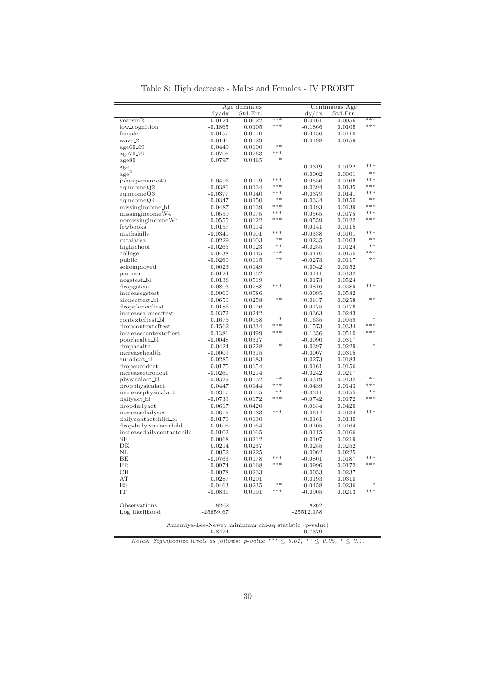Table 8: High decrease - Males and Females - IV PROBIT

|                           |                              | Age dummies      |        |                        | Continuous Age   |       |
|---------------------------|------------------------------|------------------|--------|------------------------|------------------|-------|
|                           | dy/dx                        | Std.Err.         |        | dy/dx                  | Std.Err.         |       |
| yearsinR                  | 0.0124                       | 0.0022           | ***    | 0.0161                 | 0.0056           | ***   |
| low_cognition             | $-0.1865$                    | 0.0105           | ***    | $-0.1866$              | 0.0105           | ***   |
| female                    | $-0.0157$                    | 0.0110           |        | $-0.0156$              | 0.0110           |       |
| wave_2                    | $-0.0141$                    | 0.0129           |        | $-0.0198$              | 0.0159           |       |
| age60.69                  | 0.0449                       | 0.0190           | $**$   |                        |                  |       |
| age70_79                  | 0.0705                       | 0.0263           | $***$  |                        |                  |       |
| age80                     | 0.0797                       | 0.0465           | $\ast$ |                        |                  |       |
| age                       |                              |                  |        | 0.0319                 | 0.0122           | ***   |
| $\mathrm{age}^2$          |                              |                  |        | $-0.0002$              | 0.0001           | $**$  |
| jobexperience40           | 0.0496                       | 0.0119           | ***    | 0.0556                 | 0.0166           | ***   |
| eqincomeQ2                | $-0.0386$                    | 0.0134           | ***    | $-0.0394$              | 0.0135           | ***   |
| eqincomeQ3                |                              |                  | ***    |                        |                  | ***   |
| eqincomeQ4                | $-0.0377$<br>$-0.0347$       | 0.0140<br>0.0150 | **     | $-0.0379$<br>$-0.0334$ | 0.0141<br>0.0150 | $**$  |
|                           |                              |                  | ***    |                        |                  | ***   |
| missingincome_bl          | 0.0487                       | 0.0139           | ***    | 0.0493                 | 0.0139           | ***   |
| missingincomeW4           | 0.0559                       | 0.0175           | ***    | 0.0565                 | 0.0175           | ***   |
| nomissingincomeW4         | $-0.0555$                    | 0.0122           |        | $-0.0559$              | 0.0122           |       |
| fewbooks                  | 0.0157                       | 0.0114           | $***$  | 0.0141                 | 0.0115           | ***   |
| mathskills                | $-0.0340$                    | 0.0101           | **     | $-0.0338$              | 0.0101           | $**$  |
| ruralarea                 | 0.0229                       | 0.0103           | $**$   | 0.0235                 | 0.0103           | $**$  |
| highschool                | $-0.0265$                    | 0.0123           | ***    | $-0.0255$              | 0.0124           | ***   |
| college                   | $-0.0438$                    | 0.0145           | $**$   | $-0.0410$              | 0.0150           | $**$  |
| public                    | $-0.0260$                    | 0.0115           |        | $-0.0273$              | 0.0117           |       |
| selfemployed              | 0.0023                       | 0.0149           |        | 0.0042                 | 0.0152           |       |
| partner                   | 0.0124                       | 0.0132           |        | 0.0111                 | 0.0132           |       |
| nogstest_bl               | 0.0138                       | 0.0519           |        | 0.0173                 | 0.0524           |       |
| dropgstest                | 0.0803                       | 0.0288           | $***$  | 0.0816                 | 0.0289           | $***$ |
| increasegstest            | $-0.0060$                    | 0.0586           |        | $-0.0095$              | 0.0582           |       |
| alonecftest bl            | $-0.0650$                    | 0.0258           | **     | $-0.0637$              | 0.0258           | $**$  |
| dropalonecftest           | 0.0186                       | 0.0176           |        | 0.0175                 | 0.0176           |       |
| increasealonecftest       | $-0.0372$                    | 0.0242           |        | $-0.0363$              | 0.0243           |       |
| contextcftest_bl          | 0.1675                       | 0.0958           | ×      | 0.1635                 | 0.0959           | ×     |
| dropcontextcftest         | 0.1562                       | 0.0334           | ***    | 0.1573                 | 0.0334           | $***$ |
| increasecontextcftest     | $-0.1381$                    | 0.0499           | ***    | $-0.1356$              | 0.0510           | ***   |
| poorhealth bl             | $-0.0048$                    | 0.0317           |        | $-0.0090$              | 0.0317           |       |
| drophealth                | 0.0424                       | 0.0228           | sk.    | 0.0397                 | 0.0229           | sk:   |
| increasehealth            | $-0.0009$                    | 0.0315           |        | $-0.0007$              | 0.0315           |       |
| eurodcat_bl               | 0.0285                       | 0.0183           |        | 0.0273                 | 0.0183           |       |
| dropeurodcat              | 0.0175                       | 0.0154           |        | 0.0161                 | 0.0156           |       |
| increaseeurodcat          | $-0.0261$                    | 0.0214           |        | $-0.0242$              | 0.0217           |       |
| physicalact bl            | $-0.0329$                    | 0.0132           | $**$   | $-0.0319$              | 0.0132           | $**$  |
| dropphysicalact           | 0.0447                       | 0.0144           | ***    | 0.0439                 | 0.0143           | ***   |
| increasephysicalact       | $-0.0317$                    | 0.0155           | **     | $-0.0311$              | 0.0155           | $**$  |
| dailyact_bl               | $-0.0739$                    | 0.0172           | ***    | $-0.0742$              | 0.0172           | ***   |
| dropdailyact              | 0.0617                       | 0.0420           |        | 0.0634                 | 0.0420           |       |
| increasedailyact          | $-0.0615$                    | 0.0133           | ***    | $-0.0614$              | 0.0134           | ***   |
| dailycontactchild_bl      | $-0.0170$                    | 0.0130           |        | $-0.0161$              | 0.0130           |       |
| dropdailycontactchild     | 0.0105                       | 0.0164           |        | 0.0105                 | 0.0164           |       |
| increasedailycontactchild | $-0.0102$                    | 0.0165           |        | $-0.0115$              | 0.0166           |       |
| SE                        | 0.0068                       | 0.0212           |        | 0.0107                 | 0.0219           |       |
| DK                        | 0.0214                       | 0.0237           |        | 0.0255                 |                  |       |
| NL                        |                              |                  |        |                        | 0.0252           |       |
|                           | 0.0052                       | 0.0225           | ***    | 0.0062                 | 0.0225           | ***   |
| BE                        | $-0.0766$                    | 0.0178           | ***    | $-0.0801$              | 0.0187           | ***   |
| FR.                       | $-0.0974$                    | 0.0168           |        | $-0.0996$              | 0.0172           |       |
| CH                        | $-0.0078$                    | 0.0233           |        | $-0.0053$              | 0.0237           |       |
| AT                        | 0.0287                       | 0.0291           | **     | 0.0193                 | 0.0310           | ×     |
| ES                        | $-0.0463$                    | 0.0235           | ***    | $-0.0458$              | 0.0236           | $***$ |
| IT                        | $-0.0831$                    | 0.0191           |        | $-0.0905$              | 0.0213           |       |
|                           |                              |                  |        |                        |                  |       |
| Observations              | 8262                         |                  |        | 8262                   |                  |       |
| Log likelihood            | $-25659.67$                  |                  |        | $-25512.158$           |                  |       |
|                           | $\mathbf{R}$<br><b>Trust</b> |                  |        | $\cdots$               |                  |       |

Amemiya-Lee-Newey minimum chi-sq statistic (p-value) 0.8424 0.7379

Notes: Significance levels as follows: p-value \*\*\*  $\leq 0.01$ , \*\*  $\leq 0.05$ , \*  $\leq 0.1$ .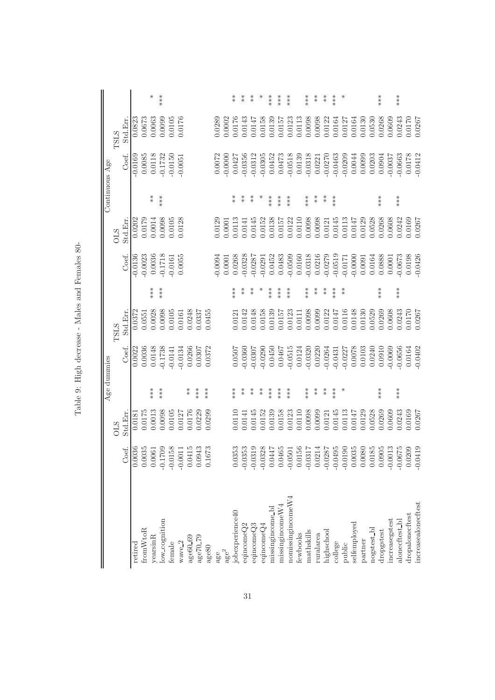|                         |                                                                                                                                          |         |                      | Age dummies |             |       |           |            |          | Continuous Age         |             |                      |
|-------------------------|------------------------------------------------------------------------------------------------------------------------------------------|---------|----------------------|-------------|-------------|-------|-----------|------------|----------|------------------------|-------------|----------------------|
|                         |                                                                                                                                          | STIC    |                      |             | <b>TSLS</b> |       |           | STIC       |          |                        | <b>TSLS</b> |                      |
|                         | Coef.                                                                                                                                    | Std.Err |                      | Coef.       | Std.Em.     |       | Coef.     | Std.Err    |          | Coef.                  | Std.Err     |                      |
| retired                 | $\overline{)036}$<br>$_{\odot}^{\rm O}$                                                                                                  | 0.0181  |                      | 0.0022      | 0.0372      |       | $-0.0136$ | 0.0202     |          | $-0.0169$              | 0.0823      |                      |
| fromWtoR                | 0.0035                                                                                                                                   | 0.0175  |                      | 0.0036      | 0.0551      |       | $-0.0023$ | 0.0179     |          | 0.0085                 | 0.0673      |                      |
| yearsinR                |                                                                                                                                          | 0.0013  | ***                  | 0.0148      | 0.0028      | ***   | 0.0036    | 0.0014     | $*$      | 0.0118                 | 0.0063      | ⋇                    |
| low_cognition           | $0.0061$<br>$0.1709$<br>$-0.1$                                                                                                           | 0.0098  | ***                  | $-0.1738$   | 0.0098      | ***   | $-0.1718$ | 0.0098     | ***      | $-0.1732$              | 0.0099      | ***                  |
| female                  | $-0.0158$                                                                                                                                | 0.0105  |                      | $-0.0141$   | 0.0105      |       | $-0.0161$ | 0.0105     |          | $-0.0150$              | 0.0105      |                      |
| wave <sub>2</sub>       | 011<br>$-0.0$                                                                                                                            | 0.0127  |                      | $-0.0134$   | 0.0161      |       | 0.0055    | 0.0128     |          | $-0.0051$              | 0.0176      |                      |
| age60_69                | 415<br>0.0                                                                                                                               | 0.0176  | $* \ast$             | 0.0266      | 0.0248      |       |           |            |          |                        |             |                      |
| age70 <sub>79</sub>     | 043<br>0.0                                                                                                                               | 0.0229  | ***                  | 0.0307      | 0.0337      |       |           |            |          |                        |             |                      |
| $a$ ge $80$             | 673<br>0.1                                                                                                                               | 0.0299  | $***$                | 0.0372      | 0.0455      |       |           |            |          |                        |             |                      |
| age                     |                                                                                                                                          |         |                      |             |             |       | $-0.0094$ | 0.0129     |          |                        | 0.0289      |                      |
| $\mathrm{age}^2$        |                                                                                                                                          |         |                      |             |             |       | 0.0001    | 0.0001     |          | 0.0072                 | 0.0002      |                      |
| jobexperience40         | 0.0353                                                                                                                                   | 0.0110  | ***                  | 0.0507      | 0.0121      | ***   | 0.0268    | 0.0113     | $*$      | 0.0427                 | 0.0176      | $* *$                |
| eqincome $\mathrm{Q}2$  | $-0.0353$                                                                                                                                | 0.0141  | $*$                  | $-0.0360$   | 0.0142      | $* *$ | 0.0328    | 0.0141     | $* *$    | $-0.0356$              | 0.0143      | $* *$                |
| eqincomeQ3              |                                                                                                                                          | 0.0145  | $\stackrel{*}{\ast}$ | $-0.0307$   | 0.0148      | $* *$ | $-0.0287$ | 0.0145     | $* \ast$ | $-0.0312$              | 0.0147      | $\stackrel{*}{\ast}$ |
| eqincomeQ4              | $-0.0319$<br>$-0.0328$                                                                                                                   | 0.0152  | $*$                  | $-0.0290$   | 0.0158      |       | $-0.0291$ | 0.0152     |          | $-0.0305$              | 0.0158      |                      |
| missingincome_bl        | 0.0447                                                                                                                                   | 0.0139  | ***                  | 0.0450      | 0.0139      | ***   | 0.0452    | 0.0138     | ***      | 0.0452                 | 0.0139      | ***                  |
| $missing$ income $W4$   |                                                                                                                                          | 0.0158  | ***                  | 0.0467      | 0.0157      | $***$ | 0.0483    | 0.0157     | ***      | 0.0473                 | 0.0157      | ***                  |
| $n$ omissingincome $W4$ | $\begin{array}{c} 0.0465 \\ -0.0501 \\ 0.0156 \\ 0.0156 \\ -0.0317 \\ -0.0214 \\ -0.0287 \\ -0.0495 \\ -0.0190 \\ 0.0035 \\ \end{array}$ | 0.0123  | $***$                | $-0.0515$   | 0.0123      | $***$ | $-0.0509$ | 0.0122     | $***$    | $-0.0518$              | 0.0123      | $***$                |
| fewbooks                |                                                                                                                                          | 0.0110  |                      | 0.0124      | 0.0111      |       | 0.0160    | 0.0110     |          | 0.0139                 | 0.0113      |                      |
| mathskills              |                                                                                                                                          | 0.0098  | ***                  | $-0.0320$   | 0.0098      | ***   | $-0.0318$ | 0.0098     | ***      | $-0.0318$              | 0.0098      | $***$                |
| ruralarea               |                                                                                                                                          | 0.0099  | $*$                  | 0.0220      | 0.0099      | $*$   | 0.0216    | 0.0098     | $*$      | 0.0221                 | 0.0098      | $*$                  |
| highschool              |                                                                                                                                          | 0.0121  | $*$                  | $-0.0264$   | 0.0122      | $*$   | $-0.0279$ | 0.0121     | $*$      | $-0.0270$              | 0.0122      | $*$                  |
| college                 |                                                                                                                                          | 0.0145  | $***$                | $-0.0431$   | 0.0147      | $***$ | $-0.0519$ | 0.0145     | $***$    |                        | 0.0164      | $***$                |
| public                  |                                                                                                                                          | 0.0113  |                      | $-0.0227$   | 0.0116      | $*$   | $-0.0171$ | 0.0113     |          | $-0.0463$<br>$-0.0209$ | 0.0127      |                      |
| selfemployed            |                                                                                                                                          | 0.0147  |                      | 0.0078      | 0.0148      |       | $-0.0000$ | $0.0147\,$ |          | 0.0044                 | 0.0164      |                      |
| partner                 |                                                                                                                                          | 0.0129  |                      | 0.0103      | 0.0130      |       | 0.0091    | 0.0129     |          | 0.0099                 | 0.0130      |                      |
| nogstest_bl             | 0.0185                                                                                                                                   | 0.0528  |                      | 0.0240      | 0.0529      |       | 0.0164    | 0.0528     |          | 0.0203                 | 0.0530      |                      |
| dropgstest              | 0.0905                                                                                                                                   | 0.0269  | ***                  | 0.0910      | 0.0269      | ***   | 0.0888    | 0.0268     | $***$    | 0.0904                 | 0.0268      | ***                  |
| increasegstest          | 013<br>$-0.0$                                                                                                                            | 0.0609  |                      | $-0.0069$   | 0.0608      |       | 0.0001    | 0.0608     |          | $-0.0037$              | 0.0609      |                      |
| alonecttest_bl          | $-0.0675$                                                                                                                                | 0.0243  | $***$                | $-0.0656$   | 0.0243      | $***$ | $-0.0673$ | 0.0242     | $***$    | $-0.0663$              | 0.0243      | ***                  |
| dropalonecftest         | $0.0209$<br>$-0.0419$                                                                                                                    | 0.0169  |                      | 0.0164      | 0.0170      |       | 0.0198    | 0.0169     |          | 0.0178                 | 0.0170      |                      |
| increasealonecftest     |                                                                                                                                          | 0.0267  |                      | $-0.0402$   | 0.0267      |       | $-0.0426$ | 0.0267     |          | $-0.0412$              | 0.0267      |                      |

Table 9: High decrease - Males and Females 80-Table 9: High decrease - Males and Females 80-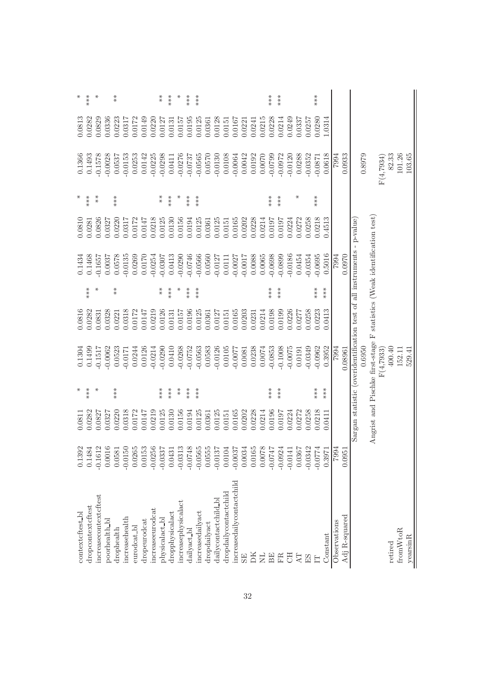| ⋇                 | ***               |                         |               | $* \underset{\ast}{*}$ |                        |                      |              |                            | $* \underset{*}{*}$     | ***              |                                      | ***         | $***$                |              |                      |                       |                             |                |        |        | ***         | ***            |           |                 |                          | ***       |                  |              |               |                                                                         |        |                                                                         |            |         |          |          |
|-------------------|-------------------|-------------------------|---------------|------------------------|------------------------|----------------------|--------------|----------------------------|-------------------------|------------------|--------------------------------------|-------------|----------------------|--------------|----------------------|-----------------------|-----------------------------|----------------|--------|--------|-------------|----------------|-----------|-----------------|--------------------------|-----------|------------------|--------------|---------------|-------------------------------------------------------------------------|--------|-------------------------------------------------------------------------|------------|---------|----------|----------|
| 0.0813            | 0.0282            | 0.0829                  | 0.0336        | 0.0223                 | 0.0317                 | 0.0172               | 0.0149       | 0.0220                     | 0.0127                  | 0.0131           | 0.0157                               | 0.0195      | 0.0125               | 0.0361       | 0.0128               | 0.0151                | 0.0167                      | 0.0221         | 0.0241 | 0.0215 | 0.0228      | 0.0214         | 0.0249    | 0.0337          | 0.0257                   | 0.0280    | 1.0314           |              |               |                                                                         |        |                                                                         |            |         |          |          |
| 0.1366            | 0.1493            | $-0.1578$               | $-0.0028$     | 0.0537                 | $-0.0153$              | 0.0253               | 0.0142       | $-0.0225$                  | $-0.0298$               | 0.0411           | $-0.0276$                            | $-0.0737$   | $-0.0565$            | 0.0570       | $-0.0130$            | 0.0108                | $-0.0064$                   | 0.0042         | 0.0192 | 0.0070 | $-0.0799$   | $-0.0972$      | $-0.0120$ | 0.0288          | $-0.0352$                | $-0.0871$ | 0.0618           | F662         | 0.0933        |                                                                         | 0.8979 |                                                                         | F(4.7934)  | 82.33   | 101.26   | 103.65   |
| ⋇                 | $***$             | $* *$                   |               | $**\underset{**}{*}$   |                        |                      |              |                            | $* \ast$                | $***$            | $*$                                  | ***         | $**\underset{**}{*}$ |              |                      |                       |                             |                |        |        | ***         | ***            |           | ⋇               |                          | $***$     |                  |              |               |                                                                         |        |                                                                         |            |         |          |          |
| 0.0810            | 0.0281            | 0.0826                  | 0.0327        | 0.0220                 | 0.0317                 | 0.0172               | 0.0147       | 0.0218                     | 0.0125                  | 0.0130           | 0.0156                               | 0.0194      | 0.0125               | 0.0361       | 0.0125               | 0.0151                | 0.0165                      | 0.0202         | 0.0228 | 0.0214 | 0.0197      | 0.0197         | 0.0224    | 0.0272          | 0.258                    | 0.0218    | 0.4513           |              |               |                                                                         |        |                                                                         |            |         |          |          |
| 0.1434            | 0.1468            | $-0.1657$               | 0.0037        | 0.0578                 | $-0.0135$              | 0.0269               | 0.0170       | $-0.0254$                  | $-0.0307$               | 0.0413           | $-0.0290$                            | $-0.0746$   | $-0.0566$            | 0.0560       | $-0.0127$            | 0.0111                | $-0.0027$                   | $-0.0017$      | 0.0088 | 0.0065 | $-0.0698$   | $-0.0899$      | $-0.0186$ | 0.0454          | $-0.0354$                | $-0.0695$ | 0.5016           | 7994         | 0.0970        |                                                                         |        |                                                                         |            |         |          |          |
|                   | ***               | ⋇                       |               | $* \underset{*}{*}$    |                        |                      |              |                            | $* \atop *$             | ***              | $*$                                  | ***         | ***                  |              |                      |                       |                             |                |        |        | $***$       | ***            |           |                 |                          | $***$     | $**$<br>$**$     |              |               |                                                                         |        |                                                                         |            |         |          |          |
| 0.0816            | 0.0282            | 0.0831                  | 0.0328        | 0.0221                 | 0.0318                 | 0.0172               | 0.0147       | 0.0219                     | 0.0126                  | 0.0131           | 0.0157                               | 0.0196      | 0.0125               | 0.0361       | 0.0127               | 0.0151                | 0.0165                      | 0.0203         | 0.0231 | 0.0214 | 0.0198      | 0.0199         | 0.0226    | 0.0277          | 0.0258                   | 0.223     | 0.0413           |              |               |                                                                         |        |                                                                         |            |         |          |          |
| 0.1304            | 0.1499            | 0.1517                  | $-0.0062$     | 0.0523                 | $-0.0171$              | 0.0244               | 0.0126       | $-0.0214$                  | $-0.0290$               | 0.0410           | $-0.0268$                            | $-0.0752$   | $-0.0563$            | 0.0583       | $-0.0126$            | 0.0105                | -0.0077                     | 0.0081         | 0.0238 | 0.0074 | 0.0853      | $-0.1008$      | $-0.0075$ | 0.0191          | 0.0349                   | 0.0962    | 0.3952           | 7994         | 0.08961       | Sargan statistic (overidentification test of all instruments - p-value) | 0.6950 | Angrist and Pischke first-stage F statistics (Weak identification test) | F(4, 7933) | 400.40  | 152.11   | 529.41   |
| ⋇                 | ***               |                         |               | $***$                  |                        |                      |              |                            | $***$                   | ***              | $*$                                  | $***$       | $**$<br>$**$         |              |                      |                       |                             |                |        |        | ***         | ***            |           |                 |                          | $**\ast$  | $***$            |              |               |                                                                         |        |                                                                         |            |         |          |          |
| 0.0811            | 0.0282            | 0.0827                  | 0.0327        | 0.0220                 | 0.0318                 | 0.0172               | 0.0147       | 0.0219                     | 0.0125                  | 0.0130           | 0.0156                               | 0.0194      | 0.0125               | 0.0361       | 0.0125               | 0.0151                | 0.0165                      | 0.0202         | 0.0228 | 0.0214 | 0.0196      | 0.0197         | 0.0224    | 0.0272          | 0.0258                   | 0.0218    | 0.0411           |              |               |                                                                         |        |                                                                         |            |         |          |          |
| 0.1392            | .1484             | .1612<br>$\overline{Q}$ | .0016         | 0581                   | 0150<br>$\overline{Q}$ | 0265<br>$\circ$      | 0153         | 0256<br>$\dot{\mathsf{C}}$ | .0337<br>$\overline{Q}$ | .0431<br>$\circ$ | .0313<br>$\phi$ $\phi$ $\phi$ $\phi$ | 0748        | .0565                | 0555         | 0137                 | .0104<br>$\circ$      | .0037<br>$\overline{Q}$     | .0034          | .0165  | 8700.  | <b>LFL0</b> | .0924<br>우 우 우 | .0141     | 0367<br>$\circ$ | 0342<br>S S              | 0774      | .3971<br>$\circ$ | F662         | .0951         |                                                                         |        |                                                                         |            |         |          |          |
| context cftest_bl | dropcontextcftest | increasecontextcftest   | poorhealth_bl | drophealth             | increasehealth         | eurodcat <b>_</b> bl | dropeurodcat | increaseeurodcat           | $physicalact\_bl$       | dropphysicalact  | increasephysicalact                  | dailyact_bl | increasedailyact     | dropdailyact | dailycontactchild_bl | dropdailycontactchild | increasedaily contact child | SE <sub></sub> | DК     | EN     | BE          | FR             | F         | AT              | $\mathop{\hbox{\rm ES}}$ | E         | Constant         | Observations | Adj R-squared |                                                                         |        |                                                                         |            | retired | fromWtoR | yearsinR |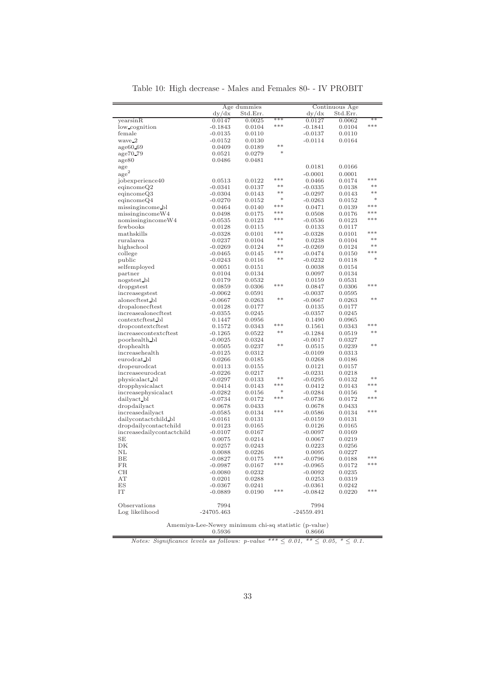| Table 10: High decrease - Males and Females 80- - IV PROBIT |  |  |  |  |
|-------------------------------------------------------------|--|--|--|--|
|-------------------------------------------------------------|--|--|--|--|

|                           |              | Age dummies |               |              | Continuous Age |               |
|---------------------------|--------------|-------------|---------------|--------------|----------------|---------------|
|                           | dy/dx        | Std.Err.    |               | dy/dx        | Std.Err.       |               |
| yearsinR                  | 0.0147       | 0.0025      | ***           | 0.0127       | 0.0062         | $**$          |
| low_cognition             | $-0.1843$    | 0.0104      | ***           | $-0.1841$    | 0.0104         | ***           |
| female                    | -0.0135      | 0.0110      |               | $-0.0137$    | 0.0110         |               |
| wave_2                    | $-0.0152$    | 0.0130      |               | $-0.0114$    | 0.0164         |               |
| age60.69                  | 0.0409       | 0.0189      | **            |              |                |               |
| age70_79                  | 0.0521       | 0.0279      | $\frac{1}{2}$ |              |                |               |
| age80                     | 0.0486       | 0.0481      |               |              |                |               |
| age                       |              |             |               | 0.0181       | 0.0166         |               |
| $\mathrm{age}^2$          |              |             |               | $-0.0001$    | 0.0001         |               |
| jobexperience40           | 0.0513       | 0.0122      | $***$         | 0.0466       | 0.0174         | $***$         |
| eqincomeQ2                | -0.0341      | 0.0137      | **            | -0.0335      | 0.0138         | **            |
| eqincomeQ3                | $-0.0304$    | 0.0143      | $**$          | $-0.0297$    | 0.0143         | $**$          |
| eqincomeQ4                | $-0.0270$    | 0.0152      | $\frac{1}{2}$ | $-0.0263$    | 0.0152         | $\ast$        |
| missingincome_bl          | 0.0464       | 0.0140      | ***           | 0.0471       | 0.0139         | ***           |
|                           |              |             | ***           |              |                | ***           |
| missingincomeW4           | 0.0498       | 0.0175      | ***           | 0.0508       | 0.0176         | ***           |
| nomissingincomeW4         | $-0.0535$    | 0.0123      |               | $-0.0536$    | 0.0123         |               |
| fewbooks                  | 0.0128       | 0.0115      | ***           | 0.0133       | 0.0117         | ***           |
| mathskills                | -0.0328      | 0.0101      | $**$          | -0.0328      | 0.0101         | $**$          |
| ruralarea                 | 0.0237       | 0.0104      | **            | 0.0238       | 0.0104         | $**$          |
| highschool                | $-0.0269$    | 0.0124      | ***           | $-0.0269$    | 0.0124         | ***           |
| college                   | $-0.0465$    | 0.0145      | **            | $-0.0474$    | 0.0150         | $\frac{1}{2}$ |
| public                    | -0.0243      | 0.0116      |               | $-0.0232$    | 0.0118         |               |
| selfemployed              | 0.0051       | 0.0151      |               | 0.0038       | 0.0154         |               |
| partner                   | 0.0104       | 0.0134      |               | 0.0097       | 0.0134         |               |
| nogstest_bl               | 0.0179       | 0.0532      |               | 0.0159       | 0.0531         |               |
| dropgstest                | 0.0859       | 0.0306      | ***           | 0.0847       | 0.0306         | ***           |
| increasegstest            | -0.0062      | 0.0591      |               | $-0.0037$    | 0.0595         |               |
| alonecftest_bl            | $-0.0667$    | 0.0263      | **            | $-0.0667$    | 0.0263         | **            |
| dropalonecftest           | 0.0128       | 0.0177      |               | 0.0135       | 0.0177         |               |
| increasealonecftest       | $-0.0355$    | 0.0245      |               | $-0.0357$    | 0.0245         |               |
| contextcftest_bl          | 0.1447       | 0.0956      |               | 0.1490       | 0.0965         |               |
| dropcontextcftest         | 0.1572       | 0.0343      | ***           | 0.1561       | 0.0343         | ***           |
| increasecontextcftest     | $-0.1265$    | 0.0522      | $**$          | $-0.1284$    | 0.0519         | $**$          |
| poorhealth_bl             | -0.0025      | 0.0324      |               | $-0.0017$    | 0.0327         |               |
| drophealth                | 0.0505       | 0.0237      | **            | 0.0515       | 0.0239         | **            |
| increasehealth            | $-0.0125$    | 0.0312      |               | $-0.0109$    | 0.0313         |               |
| eurodcat_bl               | 0.0266       | 0.0185      |               | 0.0268       | 0.0186         |               |
| dropeurodcat              | 0.0113       | 0.0155      |               | 0.0121       | 0.0157         |               |
| increaseeurodcat          | -0.0226      | 0.0217      |               | $-0.0231$    | 0.0218         |               |
| physicalact bl            | $-0.0297$    | 0.0133      | **            | $-0.0295$    | 0.0132         | $**$          |
| dropphysicalact           | 0.0414       | 0.0143      | $***$         | 0.0412       | 0.0143         | $* * *$       |
| increasephysicalact       | $-0.0282$    | 0.0156      | ×,            | $-0.0284$    | 0.0156         | $\frac{1}{2}$ |
| dailyact_bl               | $-0.0734$    | 0.0172      | ***           | $-0.0736$    | 0.0172         | ***           |
| dropdailyact              | 0.0678       | 0.0433      |               | 0.0678       | 0.0433         |               |
| increasedailyact          | $-0.0585$    | 0.0134      | ***           | $-0.0586$    | 0.0134         | $***$         |
| dailycontactchild_bl      | $-0.0161$    | 0.0131      |               | $-0.0159$    | 0.0131         |               |
| dropdailycontactchild     | 0.0123       | 0.0165      |               | 0.0126       | 0.0165         |               |
| increasedailycontactchild | $-0.0107$    | 0.0167      |               | $-0.0097$    | 0.0169         |               |
| SЕ                        | 0.0075       | 0.0214      |               | 0.0067       | 0.0219         |               |
| DK                        | 0.0257       | 0.0243      |               | 0.0223       | 0.0256         |               |
| ΝL                        | 0.0088       | 0.0226      |               | 0.0095       | 0.0227         |               |
| BE                        | $-0.0827$    | 0.0175      | ***           | $-0.0796$    | 0.0188         | ***           |
| FR.                       |              |             | ***           |              |                | ***           |
|                           | -0.0987      | 0.0167      |               | $-0.0965$    | 0.0172         |               |
| CH<br>AT                  | $-0.0080$    | 0.0232      |               | $-0.0092$    | 0.0235         |               |
|                           | 0.0201       | 0.0288      |               | 0.0253       | 0.0319         |               |
| ES                        | -0.0367      | 0.0241      | ***           | $-0.0361$    | 0.0242         | ***           |
| IT                        | $-0.0889$    | 0.0190      |               | $-0.0842$    | 0.0220         |               |
|                           |              |             |               |              |                |               |
| Observations              | 7994         |             |               | 7994         |                |               |
| Log likelihood            | $-24705.463$ |             |               | $-24559.491$ |                |               |
|                           |              |             |               |              |                |               |

Amemiya-Lee-Newey minimum chi-sq statistic (p-value) 0.5936 0.8666

Notes: Significance levels as follows: p-value \*\*\*  $\leq 0.01$ , \*\*  $\leq 0.05$ , \*  $\leq 0.1$ .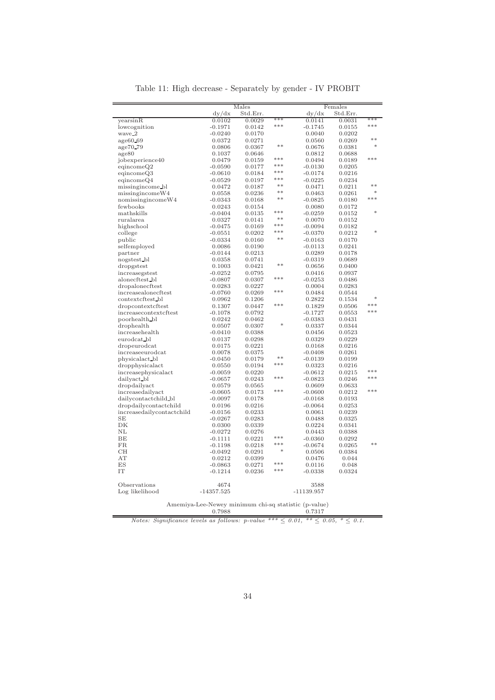|                           |                                                      | Males            |               |                     | Females         |          |
|---------------------------|------------------------------------------------------|------------------|---------------|---------------------|-----------------|----------|
|                           | dy/dx                                                | Std.Err.         |               | dy/dx               | Std.Err.        |          |
| yearsinR                  | 0.0102                                               | 0.0029           | ***           | 0.0141              | 0.0031          | ***      |
| lowcognition              | $-0.1971$                                            | 0.0142           | $* * *$       | $-0.1745$           | 0.0155          | ***      |
| wave_2                    | $-0.0240$                                            | 0.0170           |               | 0.0040              | 0.0202          |          |
| $age60_69$                | 0.0372                                               | 0.0271           |               | 0.0560              | 0.0269          | $**$     |
| age70.79                  | 0.0806                                               | 0.0367           | $**$          | 0.0676              | 0.0381          |          |
| age80                     | 0.1037                                               | 0.0646           |               | 0.0812              | 0.0688          |          |
| jobexperience40           | 0.0479                                               | 0.0159           | ***           | 0.0494              | 0.0189          | ***      |
| eqincomeQ2                | $-0.0590$                                            | 0.0177           | ***           | $-0.0130$           | 0.0205          |          |
| eqincomeQ3                | $-0.0610$                                            | 0.0184           | $* * *$       | $-0.0174$           | 0.0216          |          |
| eqincomeQ4                | $-0.0529$                                            | 0.0197           | ***           | $-0.0225$           | 0.0234          |          |
| missingincome_bl          | 0.0472                                               | 0.0187           | $* *$         | 0.0471              | 0.0211          | $**$     |
| missingincomeW4           | 0.0558                                               | 0.0236           | **            | 0.0463              | 0.0261          | sk.      |
| nomissingincomeW4         | $-0.0343$                                            | 0.0168           | **            | $-0.0825$           | 0.0180          | ***      |
| fewbooks                  | 0.0243                                               | 0.0154           |               | 0.0080              | 0.0172          |          |
| mathskills                | $-0.0404$                                            | 0.0135           | ***           | $-0.0259$           | 0.0152          | ×,       |
| ruralarea                 | 0.0327                                               | 0.0141           | **            | 0.0070              | 0.0152          |          |
| highschool                | $-0.0475$                                            | 0.0169           | $***$         | $-0.0094$           | 0.0182          |          |
| college                   | $-0.0551$                                            | 0.0202           | ***           | $-0.0370$           | 0.0212          |          |
| public                    | $-0.0334$                                            | 0.0160           | **            | $-0.0163$           | 0.0170          |          |
| selfemployed              | 0.0086                                               | 0.0190           |               | $-0.0113$           | 0.0241          |          |
| partner                   | $-0.0144$                                            | 0.0213           |               | 0.0289              | 0.0178          |          |
| nogstest_bl               | 0.0358                                               | 0.0741           |               | $-0.0319$           | 0.0689          |          |
| dropgstest                | 0.1003                                               | 0.0421           | **            | 0.0656              | 0.0400          |          |
| increasegstest            | $-0.0252$                                            | 0.0795           |               | 0.0416              | 0.0937          |          |
| alonecftest_bl            | $-0.0807$                                            | 0.0307           | ***           | $-0.0253$           | 0.0486          |          |
| dropalonecftest           | 0.0283                                               | 0.0227           |               | 0.0004              | 0.0283          |          |
| increasealonecftest       | $-0.0760$                                            | 0.0269           | $* * *$       | 0.0484              | 0.0544          |          |
| contextcftest_bl          | 0.0962                                               | 0.1206           |               | 0.2822              | 0.1534          | sk.      |
| dropcontextcftest         | 0.1307                                               | 0.0447           | ***           | 0.1829              | 0.0506          | sk sk sk |
| increasecontextcftest     | $-0.1078$                                            | 0.0792           |               | $-0.1727$           | 0.0553          | sk sk sk |
| poorhealth bl             | 0.0242                                               | 0.0462           |               | $-0.0383$           | 0.0431          |          |
| drophealth                | 0.0507                                               | 0.0307           | $\frac{1}{2}$ | 0.0337              | 0.0344          |          |
| increasehealth            | $-0.0410$                                            | 0.0388           |               | 0.0456              | 0.0523          |          |
| eurodcat_bl               | 0.0137                                               | 0.0298           |               | 0.0329              | 0.0229          |          |
| dropeurodcat              | 0.0175                                               | 0.0221           |               | 0.0168              | 0.0216          |          |
| increaseeurodcat          | 0.0078                                               | 0.0375           |               | $-0.0408$           | 0.0261          |          |
| physicalact_bl            | $-0.0450$                                            | 0.0179           | **            | $-0.0139$           | 0.0199          |          |
| dropphysicalact           | 0.0550                                               | 0.0194           | $* * *$       | 0.0323              | 0.0216          |          |
| increasephysicalact       | $-0.0059$                                            | 0.0220           |               | $-0.0612$           | 0.0215          | $***$    |
| dailyact_bl               | $-0.0657$                                            | 0.0243           | ***           | $-0.0823$           | 0.0246          | ***      |
| dropdailyact              | 0.0579                                               | 0.0565           |               | 0.0609              | 0.0633          |          |
| increasedailyact          | $-0.0605$                                            | 0.0173           | $***$         | $-0.0600$           | 0.0212          | sk sk sk |
| dailycontactchild bl      | $-0.0097$                                            | 0.0178           |               | $-0.0168$           | 0.0193          |          |
| dropdailycontactchild     | 0.0196                                               | 0.0216           |               | $-0.0064$           | 0.0253          |          |
| increasedailycontactchild | $-0.0156$                                            | 0.0233           |               | 0.0061              | 0.0239          |          |
| SE                        | $-0.0267$                                            | 0.0283           |               | 0.0488              | 0.0325          |          |
| DK                        | 0.0300                                               | 0.0339           |               | 0.0224              | 0.0341          |          |
| ΝL                        | $-0.0272$                                            | 0.0276           |               | 0.0443              | 0.0388          |          |
| BE                        | $-0.1111$                                            | 0.0221           | ***           | $-0.0360$           | 0.0292          |          |
| FR                        |                                                      |                  | ***           |                     |                 | **       |
| CH                        | $-0.1198$                                            | 0.0218           | *             | $-0.0674$           | 0.0265          |          |
| AT                        | $-0.0492$<br>0.0212                                  | 0.0291           |               | 0.0506              | 0.0384          |          |
|                           |                                                      | 0.0399           | $***$         | 0.0476              | 0.044           |          |
| ES<br>IT                  | $-0.0863$<br>$-0.1214$                               | 0.0271<br>0.0236 | ***           | 0.0116<br>$-0.0338$ | 0.048<br>0.0324 |          |
|                           |                                                      |                  |               |                     |                 |          |
| Observations              | 4674                                                 |                  |               | 3588                |                 |          |
| Log likelihood            | $-14357.525$                                         |                  |               | $-11139.957$        |                 |          |
|                           | Amemiya-Lee-Newey minimum chi-sq statistic (p-value) |                  |               |                     |                 |          |
|                           | 0.7988                                               |                  |               | 0.7317              |                 |          |

Table 11: High decrease - Separately by gender - IV PROBIT

Notes: Significance levels as follows:  $p$ -value \*\*\*  $\leq 0.01$ , \*\*  $\leq 0.05$ , \*  $\leq 0.1$ .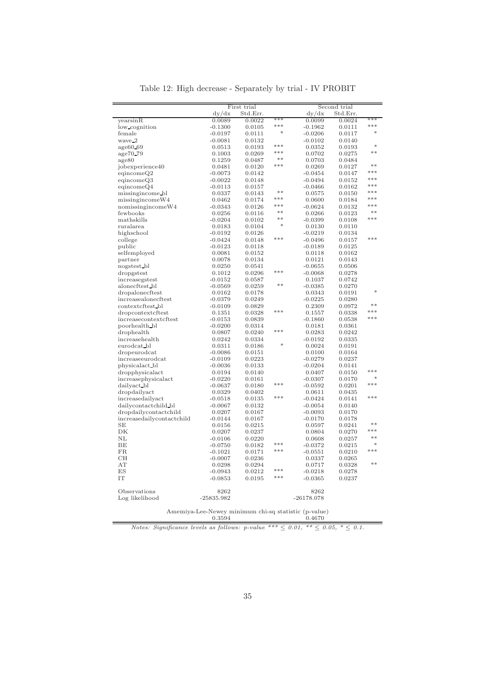|                           | dy/dx               | Std.Err. |          | dy/dx        | Std.Err. |       |
|---------------------------|---------------------|----------|----------|--------------|----------|-------|
| yearsinR                  | 0.0089              | 0.0022   | ***      | 0.0099       | 0.0024   | ***   |
| low_cognition             | $-0.1300$           | 0.0105   | $* * *$  | $-0.1962$    | 0.0111   | ***   |
| female                    | $-0.0197$           | 0.0111   | ×,       | $-0.0206$    | 0.0117   | ×,    |
| wave_2                    | $-0.0081$           | 0.0132   |          | $-0.0102$    | 0.0140   |       |
| age60.69                  | 0.0513              | 0.0193   | ***      | 0.0352       | 0.0193   | *     |
| age70_79                  | 0.1003              | 0.0269   | ***      | 0.0702       | 0.0275   | $**$  |
| age80                     | 0.1259              | 0.0487   | $**$     | 0.0703       | 0.0484   |       |
| jobexperience40           | 0.0481              | 0.0120   | ***      | 0.0269       | 0.0127   | **    |
| eqincomeQ2                | $-0.0073$           | 0.0142   |          | $-0.0454$    | 0.0147   | ***   |
| eqincomeQ3                | $-0.0022$           | 0.0148   |          | -0.0494      | 0.0152   | ***   |
| eqincomeQ4                | $-0.0113$           | 0.0157   |          | -0.0466      | 0.0162   | ***   |
| missingincome bl          | 0.0337              | 0.0143   | $**$     | 0.0575       | 0.0150   | ***   |
| missingincomeW4           | 0.0462              | 0.0174   | $***$    | 0.0600       | 0.0184   | ***   |
| nomissingincomeW4         | $-0.0343$           | 0.0126   | $***$    | $-0.0624$    | 0.0132   | ***   |
| fewbooks                  | 0.0256              | 0.0116   | $**$     | 0.0266       | 0.0123   | $**$  |
| mathskills                |                     |          | $**$     |              |          | ***   |
| ruralarea                 | $-0.0204$<br>0.0183 | 0.0102   | ×,       | $-0.0399$    | 0.0108   |       |
|                           |                     | 0.0104   |          | 0.0130       | 0.0110   |       |
| highschool                | $-0.0192$           | 0.0126   | ***      | $-0.0219$    | 0.0134   | $***$ |
| college                   | $-0.0424$           | 0.0148   |          | $-0.0496$    | 0.0157   |       |
| public                    | $-0.0123$           | 0.0118   |          | $-0.0189$    | 0.0125   |       |
| selfemployed              | 0.0081              | 0.0152   |          | 0.0118       | 0.0162   |       |
| partner                   | 0.0078              | 0.0134   |          | 0.0121       | 0.0143   |       |
| nogstest_bl               | 0.0250              | 0.0541   |          | $-0.0655$    | 0.0506   |       |
| dropgstest                | 0.1012              | 0.0296   | $***$    | $-0.0068$    | 0.0278   |       |
| increasegstest            | $-0.0152$           | 0.0587   |          | 0.1037       | 0.0742   |       |
| alonecftest bl            | $-0.0569$           | 0.0259   | **       | $-0.0385$    | 0.0270   |       |
| dropalonecftest           | 0.0162              | 0.0178   |          | 0.0343       | 0.0191   | sk.   |
| increasealonecftest       | $-0.0379$           | 0.0249   |          | $-0.0225$    | 0.0280   |       |
| contextcftest_bl          | $-0.0109$           | 0.0829   |          | 0.2309       | 0.0972   | $**$  |
| dropcontextcftest         | 0.1351              | 0.0328   | $***$    | 0.1557       | 0.0338   | $***$ |
| increasecontextcftest     | $-0.0153$           | 0.0839   |          | $-0.1860$    | 0.0538   | ***   |
| poorhealth bl             | $-0.0200$           | 0.0314   |          | 0.0181       | 0.0361   |       |
| drophealth                | 0.0807              | 0.0240   | ***      | 0.0283       | 0.0242   |       |
| increasehealth            | 0.0242              | 0.0334   |          | $-0.0192$    | 0.0335   |       |
| eurodcat_bl               | 0.0311              | 0.0186   | sk.      | 0.0024       | 0.0191   |       |
| dropeurodcat              | $-0.0086$           | 0.0151   |          | 0.0100       | 0.0164   |       |
| increaseeurodcat          | $-0.0109$           | 0.0223   |          | $-0.0279$    | 0.0237   |       |
| physicalact_bl            | $-0.0036$           | 0.0133   |          | $-0.0204$    | 0.0141   |       |
| dropphysicalact           | 0.0194              | 0.0140   |          | 0.0407       | 0.0150   | ***   |
| increasephysicalact       | $-0.0220$           | 0.0161   |          | $-0.0307$    | 0.0170   | s).   |
| dailyact_bl               | $-0.0637$           | 0.0180   | ***      | $-0.0592$    | 0.0201   | $***$ |
| dropdailyact              | 0.0329              | 0.0402   |          | 0.0611       | 0.0435   |       |
| increasedailyact          | $-0.0518$           | 0.0135   | ***      | $-0.0424$    | 0.0141   | ***   |
| dailycontactchild bl      | $-0.0067$           | 0.0132   |          | $-0.0054$    | 0.0140   |       |
| dropdailycontactchild     | 0.0207              | 0.0167   |          | $-0.0093$    | 0.0170   |       |
|                           |                     |          |          |              |          |       |
| increasedailycontactchild | $-0.0144$           | 0.0167   |          | $-0.0170$    | 0.0178   | $**$  |
| SЕ                        | 0.0156              | 0.0215   |          | 0.0597       | 0.0241   | ***   |
| DK                        | 0.0207              | 0.0237   |          | 0.0804       | 0.0270   | $**$  |
| NL                        | $-0.0106$           | 0.0220   | sk sk sk | 0.0608       | 0.0257   | sk.   |
| BE                        | $-0.0750$           | 0.0182   | $***$    | $-0.0372$    | 0.0215   | ***   |
| <b>FR</b>                 | $-0.1021$           | 0.0171   |          | $-0.0551$    | 0.0210   |       |
| CH                        | $-0.0007$           | 0.0236   |          | 0.0337       | 0.0265   |       |
| AT                        | 0.0298              | 0.0294   |          | 0.0717       | 0.0328   | $**$  |
| ES                        | $-0.0943$           | 0.0212   | ***      | -0.0218      | 0.0278   |       |
| IT                        | $-0.0853$           | 0.0195   | ***      | $-0.0365$    | 0.0237   |       |
|                           |                     |          |          |              |          |       |
| Observations              | 8262                |          |          | 8262         |          |       |
| Log likelihood            | $-25835.982$        |          |          | $-26178.078$ |          |       |
|                           |                     |          |          |              |          |       |

Table 12: High decrease - Separately by trial - IV PROBIT

First trial Second trial

Amemiya-Lee-Newey minimum chi-sq statistic (p-value) 0.3594 0.4670 Notes: Significance levels as follows: p-value \*\*\*  $\leq 0.01$ , \*\*  $\leq 0.05$ , \*  $\leq 0.1$ .

 $=$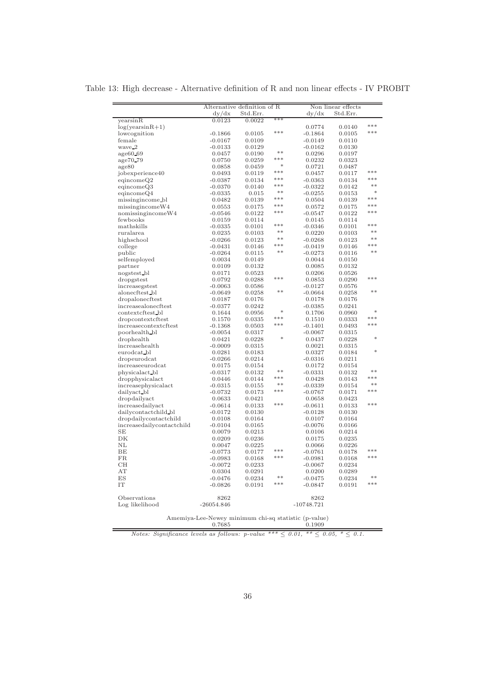|                                  | Alternative definition of R                          |                  |                        |                     | Non linear effects |               |
|----------------------------------|------------------------------------------------------|------------------|------------------------|---------------------|--------------------|---------------|
|                                  | Std.Err.<br>dy/dx                                    |                  |                        | Std.Err.<br>dy/dx   |                    |               |
| yearsinR                         | 0.0123                                               | 0.0022           | ***                    |                     |                    |               |
| $log(yearsinR+1)$                |                                                      |                  |                        | 0.0774              | 0.0140             | ***           |
| lowcognition                     | $-0.1866$                                            | 0.0105           | ***                    | $-0.1864$           | 0.0105             | ***           |
| female                           | $-0.0167$                                            | 0.0109           |                        | $-0.0149$           | 0.0110             |               |
| wave_2                           | $-0.0133$                                            | 0.0129           |                        | $-0.0162$           | 0.0130             |               |
| age60.69                         | 0.0457                                               | 0.0190           | sk sk                  | 0.0296              | 0.0197             |               |
| age70_79                         | 0.0750                                               | 0.0259           | $***$<br>$\frac{1}{2}$ | 0.0232              | 0.0323             |               |
| age80                            | 0.0858                                               | 0.0459           | ***                    | 0.0721              | 0.0487             | ***           |
| jobexperience40                  | 0.0493                                               | 0.0119           | $***$                  | 0.0457              | 0.0117             | $***$         |
| eqincomeQ2                       | $-0.0387$                                            | 0.0134           | $* * *$                | $-0.0363$           | 0.0134             | $**$          |
| eqincomeQ3                       | $-0.0370$                                            | 0.0140           | $**$                   | $-0.0322$           | 0.0142<br>0.0153   | $\ast$        |
| eqincomeQ4<br>missingincome_bl   | $-0.0335$<br>0.0482                                  | 0.015<br>0.0139  | ***                    | $-0.0255$<br>0.0504 | 0.0139             | ***           |
| missingincomeW4                  | 0.0553                                               | 0.0175           | $***$                  | 0.0572              | 0.0175             | $***$         |
| nomissingincomeW4                | $-0.0546$                                            | 0.0122           | $***$                  | $-0.0547$           | 0.0122             | ***           |
| fewbooks                         | 0.0159                                               | 0.0114           |                        | 0.0145              | 0.0114             |               |
| mathskills                       | $-0.0335$                                            | 0.0101           | $***$                  | $-0.0346$           | 0.0101             | $***$         |
| ruralarea                        | 0.0235                                               | 0.0103           | $**$                   | 0.0220              | 0.0103             | $**$          |
| highschool                       | $-0.0266$                                            | 0.0123           | **                     | $-0.0268$           | 0.0123             | $**$          |
| college                          | $-0.0431$                                            | 0.0146           | $***$                  | $-0.0419$           | 0.0146             | ***           |
| public                           | $-0.0264$                                            | 0.0115           | **                     | $-0.0273$           | 0.0116             | $**$          |
| selfemployed                     | 0.0034                                               | 0.0149           |                        | 0.0044              | 0.0150             |               |
| partner                          | 0.0109                                               | 0.0132           |                        | 0.0085              | 0.0132             |               |
| nogstest_bl                      | 0.0171                                               | 0.0523           |                        | 0.0206              | 0.0526             |               |
| dropgstest                       | 0.0792                                               | 0.0288           | ***                    | 0.0853              | 0.0290             | ***           |
| increasegstest                   | $-0.0063$                                            | 0.0586           |                        | $-0.0127$           | 0.0576             |               |
| alonecftest bl                   | $-0.0649$                                            | 0.0258           | **                     | $-0.0664$           | 0.0258             | $**$          |
| dropalonecftest                  | 0.0187                                               | 0.0176           |                        | 0.0178              | 0.0176             |               |
| increasealonecftest              | $-0.0377$                                            | 0.0242           |                        | $-0.0385$           | 0.0241             |               |
| contextcftest_bl                 | 0.1644                                               | 0.0956           | $\frac{1}{2}$          | 0.1706              | 0.0960             | $\frac{1}{2}$ |
| dropcontextcftest                | 0.1570                                               | 0.0335           | ***                    | 0.1510              | 0.0333             | ***           |
| increasecontextcftest            | $-0.1368$                                            | 0.0503           | $***$                  | $-0.1401$           | 0.0493             | ***           |
| poorhealth bl                    | $-0.0054$                                            | 0.0317           | $\frac{1}{2}$          | $-0.0067$           | 0.0315             | sk.           |
| drophealth                       | 0.0421                                               | 0.0228           |                        | 0.0437              | 0.0228             |               |
| increasehealth                   | $-0.0009$                                            | 0.0315           |                        | 0.0021              | 0.0315             | $\frac{1}{2}$ |
| eurodcat_bl                      | 0.0281                                               | 0.0183<br>0.0214 |                        | 0.0327<br>$-0.0316$ | 0.0184<br>0.0211   |               |
| dropeurodcat<br>increaseeurodcat | $-0.0266$                                            |                  |                        |                     |                    |               |
| physicalact_bl                   | 0.0175<br>$-0.0317$                                  | 0.0154<br>0.0132 | sk sk                  | 0.0172<br>$-0.0331$ | 0.0154<br>0.0132   | sk sk         |
| dropphysicalact                  | 0.0446                                               | 0.0144           | $* * *$                | 0.0428              | 0.0143             | ***           |
| increasephysicalact              | $-0.0315$                                            | 0.0155           | $**$                   | $-0.0339$           | 0.0154             | $**$          |
| dailyact_bl                      | $-0.0732$                                            | 0.0173           | ***                    | $-0.0767$           | 0.0171             | $***$         |
| dropdailyact                     | 0.0633                                               | 0.0421           |                        | 0.0658              | 0.0423             |               |
| increasedailyact                 | $-0.0614$                                            | 0.0133           | $***$                  | $-0.0611$           | 0.0133             | $***$         |
| dailycontactchild_bl             | $-0.0172$                                            | 0.0130           |                        | $-0.0128$           | 0.0130             |               |
| dropdailycontactchild            | 0.0108                                               | 0.0164           |                        | 0.0107              | 0.0164             |               |
| increasedailycontactchild        | $-0.0104$                                            | 0.0165           |                        | $-0.0076$           | 0.0166             |               |
| SE                               | 0.0079                                               | 0.0213           |                        | 0.0106              | 0.0214             |               |
| DK                               | 0.0209                                               | 0.0236           |                        | 0.0175              | 0.0235             |               |
| <b>NL</b>                        | 0.0047                                               | 0.0225           |                        | 0.0066              | 0.0226             |               |
| BE                               | $-0.0773$                                            | 0.0177           | $***$                  | $-0.0761$           | 0.0178             | $***$         |
| <b>FR</b>                        | $-0.0983$                                            | 0.0168           | $* * *$                | $-0.0981$           | 0.0168             | $***$         |
| CH                               | $-0.0072$                                            | 0.0233           |                        | $-0.0067$           | 0.0234             |               |
| AT                               | 0.0304                                               | 0.0291           | $**$                   | 0.0200              | 0.0289             | sk sk         |
| ES                               | $-0.0476$                                            | 0.0234           | ***                    | $-0.0475$           | 0.0234             | ***           |
| IT                               | $-0.0826$                                            | 0.0191           |                        | $-0.0847$           | 0.0191             |               |
| Observations                     | 8262                                                 |                  |                        | 8262                |                    |               |
| Log likelihood                   | $-26054.846$                                         |                  |                        | $-10748.721$        |                    |               |
|                                  |                                                      |                  |                        |                     |                    |               |
|                                  | Amemiya-Lee-Newey minimum chi-sq statistic (p-value) |                  |                        |                     |                    |               |

Table 13: High decrease - Alternative definition of R and non linear effects - IV PROBIT

Notes: Significance levels as follows: p-value \*\*\*  $\leq 0.01$ , \*\*  $\leq 0.05$ , \*  $\leq 0.1$ .

0.7685 0.1909

 $=$